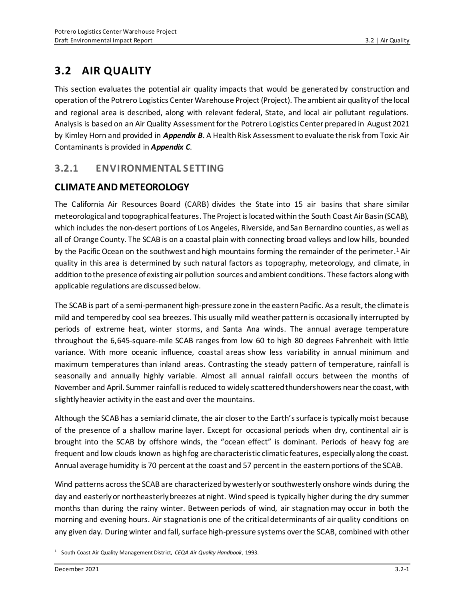# **3.2 AIR QUALITY**

This section evaluates the potential air quality impacts that would be generated by construction and operation of the Potrero Logistics Center Warehouse Project (Project). The ambient air quality of the local and regional area is described, along with relevant federal, State, and local air pollutant regulations. Analysis is based on an Air Quality Assessment for the Potrero Logistics Center prepared in August 2021 by Kimley Horn and provided in *Appendix B*. A Health Risk Assessment to evaluate the risk from Toxic Air Contaminants is provided in *Appendix C*.

## **3.2.1 ENVIRONMENTAL SETTING**

## **CLIMATE AND METEOROLOGY**

The California Air Resources Board (CARB) divides the State into 15 air basins that share similar meteorological and topographical features. The Project is located within the South Coast Air Basin (SCAB), which includes the non-desert portions of Los Angeles, Riverside, and San Bernardino counties, as well as all of Orange County. The SCAB is on a coastal plain with connecting broad valleys and low hills, bounded by the Pacific Ocean on the southwest and high mountains forming the remainder of the perimeter.<sup>1</sup> Air quality in this area is determined by such natural factors as topography, meteorology, and climate, in addition to the presence of existing air pollution sources and ambient conditions. These factors along with applicable regulations are discussed below.

The SCAB is part of a semi-permanent high-pressure zone in the eastern Pacific. As a result, the climate is mild and tempered by cool sea breezes. This usually mild weather pattern is occasionally interrupted by periods of extreme heat, winter storms, and Santa Ana winds. The annual average temperature throughout the 6,645-square-mile SCAB ranges from low 60 to high 80 degrees Fahrenheit with little variance. With more oceanic influence, coastal areas show less variability in annual minimum and maximum temperatures than inland areas. Contrasting the steady pattern of temperature, rainfall is seasonally and annually highly variable. Almost all annual rainfall occurs between the months of November and April. Summer rainfall is reduced to widely scattered thundershowers near the coast, with slightly heavier activity in the east and over the mountains.

Although the SCAB has a semiarid climate, the air closer to the Earth's surface is typically moist because of the presence of a shallow marine layer. Except for occasional periods when dry, continental air is brought into the SCAB by offshore winds, the "ocean effect" is dominant. Periods of heavy fog are frequent and low clouds known as high fog are characteristic climatic features, especially along the coast. Annual average humidity is 70 percent at the coast and 57 percent in the eastern portions of the SCAB.

Wind patterns across the SCAB are characterized by westerly or southwesterly onshore winds during the day and easterly or northeasterly breezes at night. Wind speed is typically higher during the dry summer months than during the rainy winter. Between periods of wind, air stagnation may occur in both the morning and evening hours. Air stagnation is one of the critical determinants of air quality conditions on any given day. During winter and fall, surface high-pressure systems over the SCAB, combined with other

<sup>1</sup> South Coast Air Quality Management District, *CEQA Air Quality Handbook*, 1993.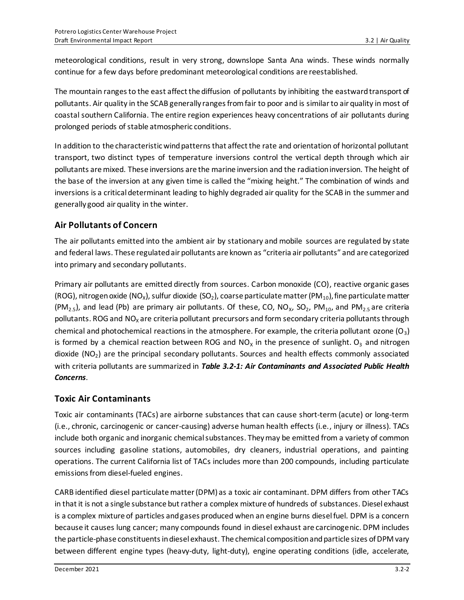meteorological conditions, result in very strong, downslope Santa Ana winds. These winds normally continue for a few days before predominant meteorological conditions are reestablished.

The mountain ranges to the east affect the diffusion of pollutants by inhibiting the eastward transport of pollutants. Air quality in the SCAB generally ranges from fair to poor and is similar to air quality in most of coastal southern California. The entire region experiences heavy concentrations of air pollutants during prolonged periods of stable atmospheric conditions.

In addition to the characteristic wind patterns that affect the rate and orientation of horizontal pollutant transport, two distinct types of temperature inversions control the vertical depth through which air pollutants are mixed. These inversions are the marine inversion and the radiation inversion. The height of the base of the inversion at any given time is called the "mixing height." The combination of winds and inversions is a critical determinant leading to highly degraded air quality for the SCAB in the summer and generally good air quality in the winter.

### **Air Pollutants of Concern**

The air pollutants emitted into the ambient air by stationary and mobile sources are regulated by state and federal laws. These regulated air pollutants are known as "criteria air pollutants" and are categorized into primary and secondary pollutants.

Primary air pollutants are emitted directly from sources. Carbon monoxide (CO), reactive organic gases (ROG), nitrogen oxide (NO<sub>x</sub>), sulfur dioxide (SO<sub>2</sub>), coarse particulate matter (PM<sub>10</sub>), fine particulate matter (PM<sub>2.5</sub>), and lead (Pb) are primary air pollutants. Of these, CO, NO<sub>x</sub>, SO<sub>2</sub>, PM<sub>10</sub>, and PM<sub>2.5</sub> are criteria pollutants. ROG and  $NO<sub>x</sub>$  are criteria pollutant precursors and form secondary criteria pollutants through chemical and photochemical reactions in the atmosphere. For example, the criteria pollutant ozone  $(0<sub>3</sub>)$ is formed by a chemical reaction between ROG and  $NO<sub>x</sub>$  in the presence of sunlight.  $O<sub>3</sub>$  and nitrogen dioxide  $(NO<sub>2</sub>)$  are the principal secondary pollutants. Sources and health effects commonly associated with criteria pollutants are summarized in *Table 3.2-1: Air Contaminants and Associated Public Health Concerns.*

### **Toxic Air Contaminants**

Toxic air contaminants (TACs) are airborne substances that can cause short-term (acute) or long-term (i.e., chronic, carcinogenic or cancer-causing) adverse human health effects (i.e., injury or illness). TACs include both organic and inorganic chemical substances. They may be emitted from a variety of common sources including gasoline stations, automobiles, dry cleaners, industrial operations, and painting operations. The current California list of TACs includes more than 200 compounds, including particulate emissions from diesel‐fueled engines.

CARB identified diesel particulate matter (DPM) as a toxic air contaminant. DPM differs from other TACs in that it is not a single substance but rather a complex mixture of hundreds of substances. Diesel exhaust is a complex mixture of particles and gases produced when an engine burns diesel fuel. DPM is a concern because it causes lung cancer; many compounds found in diesel exhaust are carcinogenic. DPM includes the particle-phase constituents in diesel exhaust. The chemical composition and particle sizes of DPM vary between different engine types (heavy-duty, light-duty), engine operating conditions (idle, accelerate,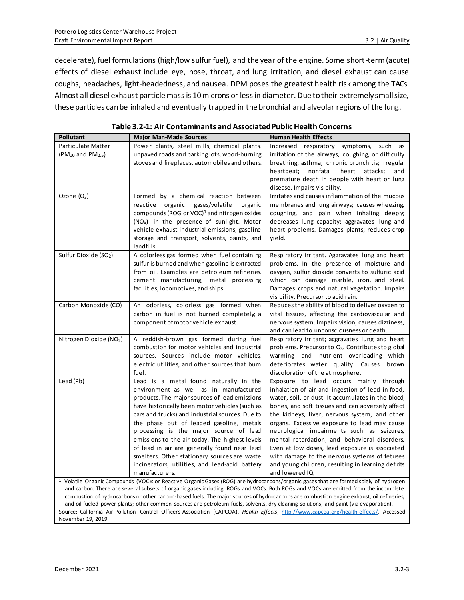decelerate), fuel formulations (high/low sulfur fuel), and the year of the engine. Some short-term (acute) effects of diesel exhaust include eye, nose, throat, and lung irritation, and diesel exhaust can cause coughs, headaches, light-headedness, and nausea. DPM poses the greatest health risk among the TACs. Almost all diesel exhaust particle mass is 10 microns or less in diameter. Due to their extremely small size, these particles can be inhaled and eventually trapped in the bronchial and alveolar regions of the lung.

| Pollutant                         | <b>Major Man-Made Sources</b>                                                                                                         | <b>Human Health Effects</b>                                                                                                              |
|-----------------------------------|---------------------------------------------------------------------------------------------------------------------------------------|------------------------------------------------------------------------------------------------------------------------------------------|
| Particulate Matter                | Power plants, steel mills, chemical plants,                                                                                           | Increased respiratory symptoms, such<br>as                                                                                               |
| $(PM_{10}$ and $PM_{2.5})$        | unpaved roads and parking lots, wood-burning                                                                                          | irritation of the airways, coughing, or difficulty                                                                                       |
|                                   | stoves and fireplaces, automobiles and others.                                                                                        | breathing; asthma; chronic bronchitis; irregular                                                                                         |
|                                   |                                                                                                                                       | nonfatal<br>heartbeat;<br>heart<br>attacks;<br>and                                                                                       |
|                                   |                                                                                                                                       | premature death in people with heart or lung                                                                                             |
|                                   |                                                                                                                                       | disease. Impairs visibility.                                                                                                             |
| Ozone $(O_3)$                     | Formed by a chemical reaction between                                                                                                 | Irritates and causes inflammation of the mucous                                                                                          |
|                                   | reactive organic<br>gases/volatile<br>organic                                                                                         | membranes and lung airways; causes wheezing,                                                                                             |
|                                   | compounds (ROG or VOC) <sup>1</sup> and nitrogen oxides                                                                               | coughing, and pain when inhaling deeply;                                                                                                 |
|                                   | $(NOX)$ in the presence of sunlight. Motor                                                                                            | decreases lung capacity; aggravates lung and                                                                                             |
|                                   | vehicle exhaust industrial emissions, gasoline                                                                                        | heart problems. Damages plants; reduces crop                                                                                             |
|                                   | storage and transport, solvents, paints, and                                                                                          | yield.                                                                                                                                   |
|                                   | landfills.                                                                                                                            |                                                                                                                                          |
| Sulfur Dioxide (SO <sub>2</sub> ) | A colorless gas formed when fuel containing                                                                                           | Respiratory irritant. Aggravates lung and heart                                                                                          |
|                                   | sulfur is burned and when gasoline is extracted                                                                                       | problems. In the presence of moisture and                                                                                                |
|                                   | from oil. Examples are petroleum refineries,                                                                                          | oxygen, sulfur dioxide converts to sulfuric acid                                                                                         |
|                                   | cement manufacturing, metal processing                                                                                                | which can damage marble, iron, and steel.                                                                                                |
|                                   | facilities, locomotives, and ships.                                                                                                   | Damages crops and natural vegetation. Impairs                                                                                            |
|                                   |                                                                                                                                       | visibility. Precursor to acid rain.                                                                                                      |
| Carbon Monoxide (CO)              | An odorless, colorless gas formed when                                                                                                | Reduces the ability of blood to deliver oxygen to                                                                                        |
|                                   | carbon in fuel is not burned completely; a                                                                                            | vital tissues, affecting the cardiovascular and                                                                                          |
|                                   | component of motor vehicle exhaust.                                                                                                   | nervous system. Impairs vision, causes dizziness,                                                                                        |
|                                   |                                                                                                                                       | and can lead to unconsciousness or death.                                                                                                |
| Nitrogen Dioxide (NO2)            | A reddish-brown gas formed during fuel                                                                                                | Respiratory irritant; aggravates lung and heart                                                                                          |
|                                   | combustion for motor vehicles and industrial                                                                                          | problems. Precursor to O <sub>3</sub> . Contributes to global                                                                            |
|                                   | sources. Sources include motor vehicles,                                                                                              | warming and nutrient overloading which                                                                                                   |
|                                   | electric utilities, and other sources that bum<br>fuel.                                                                               | deteriorates water quality. Causes brown                                                                                                 |
| Lead (Pb)                         | Lead is a metal found naturally in the                                                                                                | discoloration of the atmosphere.                                                                                                         |
|                                   | environment as well as in manufactured                                                                                                | Exposure to lead occurs mainly through<br>inhalation of air and ingestion of lead in food,                                               |
|                                   | products. The major sources of lead emissions                                                                                         | water, soil, or dust. It accumulates in the blood,                                                                                       |
|                                   | have historically been motor vehicles (such as                                                                                        | bones, and soft tissues and can adversely affect                                                                                         |
|                                   | cars and trucks) and industrial sources. Due to                                                                                       | the kidneys, liver, nervous system, and other                                                                                            |
|                                   | the phase out of leaded gasoline, metals                                                                                              | organs. Excessive exposure to lead may cause                                                                                             |
|                                   | processing is the major source of lead                                                                                                | neurological impairments such as seizures,                                                                                               |
|                                   | emissions to the air today. The highest levels                                                                                        | mental retardation, and behavioral disorders.                                                                                            |
|                                   | of lead in air are generally found near lead                                                                                          | Even at low doses, lead exposure is associated                                                                                           |
|                                   | smelters. Other stationary sources are waste                                                                                          | with damage to the nervous systems of fetuses                                                                                            |
|                                   | incinerators, utilities, and lead-acid battery                                                                                        | and young children, resulting in learning deficits                                                                                       |
|                                   | manufacturers.                                                                                                                        | and lowered IQ.                                                                                                                          |
|                                   |                                                                                                                                       | $1$ Volatile Organic Compounds (VOC)s or Reactive Organic Gases (ROG) are hydrocarbons/organic gases that are formed solely of hydrogen  |
|                                   |                                                                                                                                       | and carbon. There are several subsets of organic gases including ROGs and VOCs. Both ROGs and VOCs are emitted from the incomplete       |
|                                   |                                                                                                                                       | combustion of hydrocarbons or other carbon-based fuels. The major sources of hydrocarbons are combustion engine exhaust, oil refineries, |
|                                   |                                                                                                                                       |                                                                                                                                          |
|                                   | and oil-fueled power plants; other common sources are petroleum fuels, solvents, dry cleaning solutions, and paint (via evaporation). | Source: California Air Pollution Control Officers Association (CAPCOA), Health Effects, http://www.capcoa.org/health-effects/, Accessed  |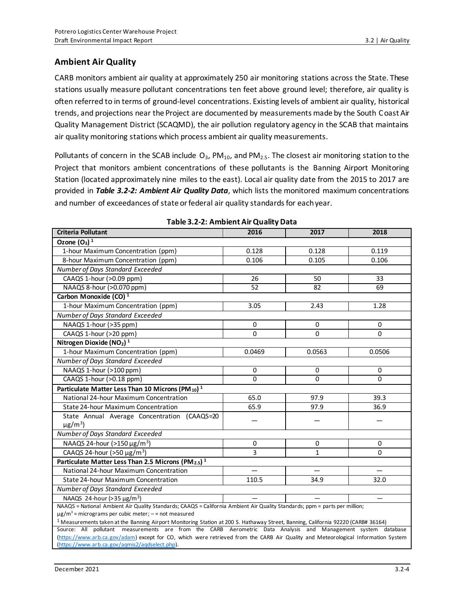### **Ambient Air Quality**

CARB monitors ambient air quality at approximately 250 air monitoring stations across the State. These stations usually measure pollutant concentrations ten feet above ground level; therefore, air quality is often referred to in terms of ground-level concentrations. Existing levels of ambient air quality, historical trends, and projections near the Project are documented by measurements made by the South Coast Air Quality Management District (SCAQMD), the air pollution regulatory agency in the SCAB that maintains air quality monitoring stations which process ambient air quality measurements.

Pollutants of concern in the SCAB include  $O_3$ , PM<sub>10</sub>, and PM<sub>2.5</sub>. The closest air monitoring station to the Project that monitors ambient concentrations of these pollutants is the Banning Airport Monitoring Station (located approximately nine miles to the east). Local air quality date from the 2015 to 2017 are provided in *Table 3.2-2: Ambient Air Quality Data*, which lists the monitored maximum concentrations and number of exceedances of state or federal air quality standards for each year.

| <b>Criteria Pollutant</b>                                                                                                                                                                                             | 2016        | 2017         | 2018                     |  |  |  |
|-----------------------------------------------------------------------------------------------------------------------------------------------------------------------------------------------------------------------|-------------|--------------|--------------------------|--|--|--|
| Ozone $(O_3)^1$                                                                                                                                                                                                       |             |              |                          |  |  |  |
| 1-hour Maximum Concentration (ppm)                                                                                                                                                                                    | 0.128       | 0.128        | 0.119                    |  |  |  |
| 8-hour Maximum Concentration (ppm)                                                                                                                                                                                    | 0.106       | 0.105        | 0.106                    |  |  |  |
| Number of Days Standard Exceeded                                                                                                                                                                                      |             |              |                          |  |  |  |
| CAAQS 1-hour (>0.09 ppm)                                                                                                                                                                                              | 26          | 50           | 33                       |  |  |  |
| NAAQS 8-hour (>0.070 ppm)                                                                                                                                                                                             | 52          | 82           | 69                       |  |  |  |
| Carbon Monoxide (CO) <sup>1</sup>                                                                                                                                                                                     |             |              |                          |  |  |  |
| 1-hour Maximum Concentration (ppm)                                                                                                                                                                                    | 3.05        | 2.43         | 1.28                     |  |  |  |
| Number of Days Standard Exceeded                                                                                                                                                                                      |             |              |                          |  |  |  |
| NAAQS 1-hour (>35 ppm)                                                                                                                                                                                                | $\mathbf 0$ | $\mathbf 0$  | 0                        |  |  |  |
| CAAQS 1-hour (>20 ppm)                                                                                                                                                                                                | 0           | 0            | 0                        |  |  |  |
| Nitrogen Dioxide ( $NO2$ ) <sup>1</sup>                                                                                                                                                                               |             |              |                          |  |  |  |
| 1-hour Maximum Concentration (ppm)                                                                                                                                                                                    | 0.0469      | 0.0563       | 0.0506                   |  |  |  |
| Number of Days Standard Exceeded                                                                                                                                                                                      |             |              |                          |  |  |  |
| NAAQS 1-hour (>100 ppm)                                                                                                                                                                                               | $\mathbf 0$ | $\mathbf 0$  | $\Omega$                 |  |  |  |
| CAAQS 1-hour (>0.18 ppm)                                                                                                                                                                                              | 0           | 0            | $\Omega$                 |  |  |  |
| Particulate Matter Less Than 10 Microns (PM $_{10}$ ) <sup>1</sup>                                                                                                                                                    |             |              |                          |  |  |  |
| National 24-hour Maximum Concentration                                                                                                                                                                                | 65.0        | 97.9         | 39.3                     |  |  |  |
| State 24-hour Maximum Concentration                                                                                                                                                                                   | 65.9        | 97.9         | 36.9                     |  |  |  |
| State Annual Average Concentration (CAAQS=20                                                                                                                                                                          |             |              |                          |  |  |  |
| $\mu$ g/m <sup>3</sup> )                                                                                                                                                                                              |             |              |                          |  |  |  |
| Number of Days Standard Exceeded                                                                                                                                                                                      |             |              |                          |  |  |  |
| NAAQS 24-hour (>150 $\mu$ g/m <sup>3</sup> )                                                                                                                                                                          | 0           | 0            | 0                        |  |  |  |
| CAAQS 24-hour (>50 $\mu$ g/m <sup>3</sup> )                                                                                                                                                                           | 3           | $\mathbf{1}$ | $\Omega$                 |  |  |  |
| Particulate Matter Less Than 2.5 Microns (PM <sub>2.5</sub> ) <sup>1</sup>                                                                                                                                            |             |              |                          |  |  |  |
| National 24-hour Maximum Concentration                                                                                                                                                                                |             |              |                          |  |  |  |
| <b>State 24-hour Maximum Concentration</b>                                                                                                                                                                            | 110.5       | 34.9         | 32.0                     |  |  |  |
| Number of Days Standard Exceeded                                                                                                                                                                                      |             |              |                          |  |  |  |
| NAAQS 24-hour (>35 µg/m <sup>3</sup> )                                                                                                                                                                                |             |              | $\overline{\phantom{0}}$ |  |  |  |
| NAAQS = National Ambient Air Quality Standards; CAAQS = California Ambient Air Quality Standards; ppm = parts per million;                                                                                            |             |              |                          |  |  |  |
| $\mu$ g/m <sup>3</sup> = micrograms per cubic meter; - = not measured<br><sup>1</sup> Measurements taken at the Banning Airport Monitoring Station at 200 S. Hathaway Street, Banning, California 92220 (CARB# 36164) |             |              |                          |  |  |  |
| Source: All pollutant measurements are from the CARB Aerometric Data Analysis and Management system database                                                                                                          |             |              |                          |  |  |  |
| (https://www.arb.ca.gov/adam) except for CO, which were retrieved from the CARB Air Quality and Meteorological Information System                                                                                     |             |              |                          |  |  |  |
| (https://www.arb.ca.gov/aqmis2/aqdselect.php).                                                                                                                                                                        |             |              |                          |  |  |  |

**Table 3.2-2: Ambient Air Quality Data**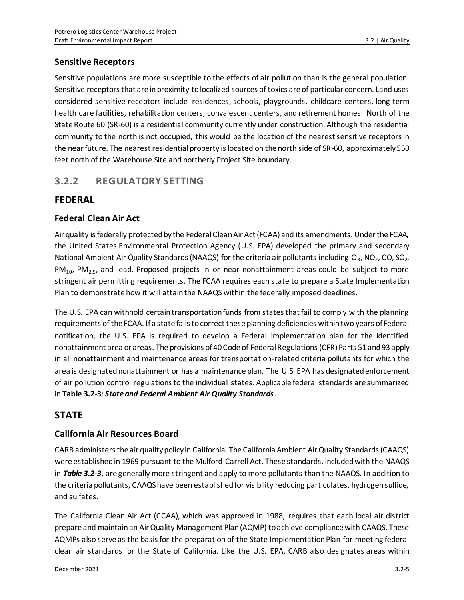### **Sensitive Receptors**

Sensitive populations are more susceptible to the effects of air pollution than is the general population. Sensitive receptors that are in proximity to localized sources of toxics are of particular concern. Land uses considered sensitive receptors include residences, schools, playgrounds, childcare centers, long‐term health care facilities, rehabilitation centers, convalescent centers, and retirement homes. North of the State Route 60 (SR-60) is a residential community currently under construction. Although the residential community to the north is not occupied, this would be the location of the nearest sensitive receptors in the near future. The nearest residential property is located on the north side of SR-60, approximately 550 feet north of the Warehouse Site and northerly Project Site boundary.

## **3.2.2 REGULATORY SETTING**

## **FEDERAL**

## **Federal Clean Air Act**

Air quality is federally protected by the Federal Clean Air Act (FCAA) and its amendments. Under the FCAA, the United States Environmental Protection Agency (U.S. EPA) developed the primary and secondary National Ambient Air Quality Standards (NAAQS) for the criteria air pollutants including  $O_3$ , NO<sub>2</sub>, CO, SO<sub>2</sub>, PM<sub>10</sub>, PM<sub>2.5</sub>, and lead. Proposed projects in or near nonattainment areas could be subject to more stringent air permitting requirements. The FCAA requires each state to prepare a State Implementation Plan to demonstrate how it will attain the NAAQS within the federally imposed deadlines.

The U.S. EPA can withhold certain transportation funds from states that fail to comply with the planning requirements of the FCAA. If a state fails to correct these planning deficiencies within two years of Federal notification, the U.S. EPA is required to develop a Federal implementation plan for the identified nonattainment area or areas. The provisions of 40 Code of Federal Regulations (CFR) Parts 51 and 93 apply in all nonattainment and maintenance areas for transportation-related criteria pollutants for which the area is designated nonattainment or has a maintenance plan. The U.S. EPA has designated enforcement of air pollution control regulations to the individual states. Applicable federal standards are summarized in **Table 3.2-3**: *State and Federal Ambient Air Quality Standards*.

## **STATE**

## **California Air Resources Board**

CARB administers the air quality policy in California. The California Ambient Air Quality Standards (CAAQS) were established in 1969 pursuant to the Mulford-Carrell Act. These standards, included with the NAAQS in *Table 3.2-3*, are generally more stringent and apply to more pollutants than the NAAQS. In addition to the criteria pollutants, CAAQS have been established for visibility reducing particulates, hydrogen sulfide, and sulfates.

The California Clean Air Act (CCAA), which was approved in 1988, requires that each local air district prepare and maintain an Air Quality Management Plan (AQMP) to achieve compliance with CAAQS. These AQMPs also serve as the basis for the preparation of the State Implementation Plan for meeting federal clean air standards for the State of California. Like the U.S. EPA, CARB also designates areas within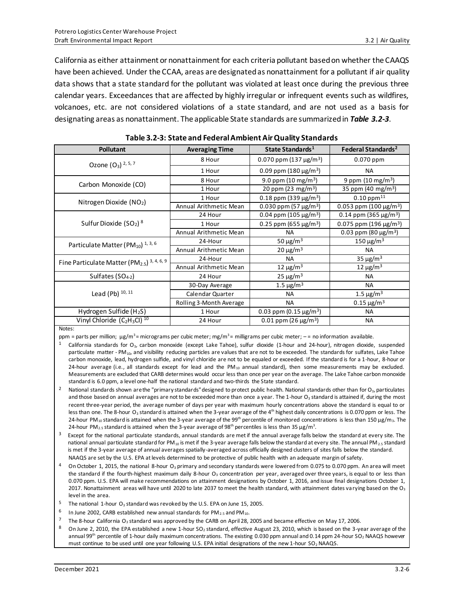California as either attainment or nonattainment for each criteria pollutant based on whether the CAAQS have been achieved. Under the CCAA, areas are designated as nonattainment for a pollutant if air quality data shows that a state standard for the pollutant was violated at least once during the previous three calendar years. Exceedances that are affected by highly irregular or infrequent events such as wildfires, volcanoes, etc. are not considered violations of a state standard, and are not used as a basis for designating areas as nonattainment. The applicable State standards are summarized in *Table 3.2-3*.

| <b>Pollutant</b>                                                               | <b>Averaging Time</b>                            | State Standards <sup>1</sup>            | Federal Standards <sup>2</sup>          |
|--------------------------------------------------------------------------------|--------------------------------------------------|-----------------------------------------|-----------------------------------------|
| Ozone $(O_3)$ 2, 5, 7                                                          | 8 Hour                                           | 0.070 ppm (137 $\mu$ g/m <sup>3</sup> ) | $0.070$ ppm                             |
|                                                                                | 1 Hour                                           | 0.09 ppm (180 $\mu$ g/m <sup>3</sup> )  | <b>NA</b>                               |
| Carbon Monoxide (CO)                                                           | 8 Hour                                           | 9.0 ppm $(10 \text{ mg/m}^3)$           | 9 ppm $(10 \text{ mg/m}^3)$             |
|                                                                                | 1 Hour                                           | 20 ppm (23 mg/m <sup>3</sup> )          | 35 ppm (40 mg/m <sup>3</sup> )          |
| Nitrogen Dioxide (NO2)                                                         | 1 Hour                                           | 0.18 ppm (339 $\mu$ g/m <sup>3</sup> )  | $0.10$ ppm $^{11}$                      |
|                                                                                | Annual Arithmetic Mean                           | 0.030 ppm (57 $\mu$ g/m <sup>3</sup> )  | 0.053 ppm (100 $\mu$ g/m <sup>3</sup> ) |
|                                                                                | 24 Hour                                          | 0.04 ppm (105 $\mu$ g/m <sup>3</sup> )  | 0.14 ppm (365 $\mu$ g/m <sup>3</sup> )  |
| Sulfur Dioxide $(SO2)$ <sup>8</sup>                                            | 0.25 ppm (655 $\mu$ g/m <sup>3</sup> )<br>1 Hour |                                         | 0.075 ppm (196 $\mu$ g/m <sup>3</sup> ) |
|                                                                                | Annual Arithmetic Mean                           | <b>NA</b>                               | 0.03 ppm (80 $\mu$ g/m <sup>3</sup> )   |
| Particulate Matter (PM $_{10}$ ) $^{1,3,6}$                                    | 24-Hour                                          | 50 $\mu$ g/m <sup>3</sup>               | 150 μg/m <sup>3</sup>                   |
|                                                                                | Annual Arithmetic Mean                           | $20 \mu g/m^3$                          | <b>NA</b>                               |
| Fine Particulate Matter (PM <sub>2.5</sub> ) <sup>3, 4, 6, 9</sup>             | 24-Hour<br><b>NA</b>                             |                                         | 35 $\mu$ g/m <sup>3</sup>               |
|                                                                                | Annual Arithmetic Mean                           | 12 $\mu$ g/m <sup>3</sup>               | 12 $\mu$ g/m <sup>3</sup>               |
| Sulfates $(SO4-2)$                                                             | 24 Hour                                          | $25 \mu g/m3$                           | <b>NA</b>                               |
|                                                                                | 30-Day Average                                   | 1.5 $\mu$ g/m <sup>3</sup>              | <b>NA</b>                               |
| Lead (Pb) 10, 11                                                               | Calendar Quarter                                 | <b>NA</b>                               | 1.5 $\mu$ g/m <sup>3</sup>              |
|                                                                                | Rolling 3-Month Average                          | <b>NA</b>                               | $0.15 \,\mathrm{\mu g/m^3}$             |
| Hydrogen Sulfide (H <sub>2</sub> S)                                            | 1 Hour                                           | 0.03 ppm $(0.15 \,\mu g/m^3)$           | <b>NA</b>                               |
| Vinyl Chloride (C <sub>2</sub> H <sub>3</sub> Cl) <sup>10</sup><br>$N = 1 - 1$ | 24 Hour                                          | 0.01 ppm (26 $\mu$ g/m <sup>3</sup> )   | <b>NA</b>                               |

Notes:

ppm = parts per million; µg/m<sup>3</sup>= micrograms per cubic meter; mg/m<sup>3</sup>= milligrams per cubic meter; -= no information available.

- $1$  California standards for O<sub>3</sub>, carbon monoxide (except Lake Tahoe), sulfur dioxide (1-hour and 24-hour), nitrogen dioxide, suspended particulate matter - PM<sub>10</sub>, and visibility reducing particles are values that are not to be exceeded. The standards for sulfates, Lake Tahoe carbon monoxide, lead, hydrogen sulfide, and vinyl chloride are not to be equaled or exceeded. If the standard is for a 1-hour, 8-hour or 24-hour average (i.e., all standards except for lead and the PM<sub>10</sub> annual standard), then some measurements may be excluded. Measurements are excluded that CARB determines would occur less than once per year on the average. The Lake Tahoe carbon monoxide standard is 6.0 ppm, a level one-half the national standard and two-thirds the State standard.
- <sup>2</sup> National standards shown are the "primary standards" designed to protect public health. National standards other than for O<sub>3</sub>, particulates and those based on annual averages are not to be exceeded more than once a year. The 1-hour  $O<sub>3</sub>$  standard is attained if, during the most recent three-year period, the average number of days per year with maximum hourly concentrations above the standard is equal to or less than one. The 8-hour O<sub>3</sub> standard is attained when the 3-year average of the 4<sup>th</sup> highest daily concentrations is 0.070 ppm or less. The 24-hour PM<sub>10</sub> standard is attained when the 3-year average of the 99<sup>th</sup> percentile of monitored concentrations is less than 150  $\mu$ g/m<sub>3</sub>. The 24-hour PM<sub>2.5</sub> standard is attained when the 3-year average of 98<sup>th</sup> percentiles is less than 35  $\mu$ g/m<sup>3</sup>.
- $3$  Except for the national particulate standards, annual standards are met if the annual average falls below the standard at every site. The national annual particulate standard for PM<sub>10</sub> is met if the 3-year average falls below the standard at every site. The annual PM<sub>2.5</sub> standard is met if the 3-year average of annual averages spatially-averaged across officially designed clusters of sites falls below the standard. NAAQS are set by the U.S. EPA at levels determined to be protective of public health with an adequate margin of safety.
- <sup>4</sup> On October 1, 2015, the national 8-hour O<sub>3</sub> primary and secondary standards were lowered from 0.075 to 0.070 ppm. An area will meet the standard if the fourth-highest maximum daily 8-hour  $O<sub>3</sub>$  concentration per year, averaged over three years, is equal to or less than 0.070 ppm. U.S. EPA will make recommendations on attainment designations by October 1, 2016, and issue final designations October 1, 2017. Nonattainment areas will have until 2020 to late 2037 to meet the health standard, with attainment dates varying based on the O<sub>3</sub> level in the area.
- <sup>5</sup> The national 1-hour  $O_3$  standard was revoked by the U.S. EPA on June 15, 2005.
- <sup>6</sup> In June 2002, CARB established new annual standards for PM<sub>2.5</sub> and PM<sub>10</sub>.
- 7 The 8-hour California O<sub>3</sub> standard was approved by the CARB on April 28, 2005 and became effective on May 17, 2006.<br>8 On lune 2, 2010, the EBA established a new 1 hour SQ, standard, effective August 22, 2010, which is
- On June 2, 2010, the EPA established a new 1-hour SO<sub>2</sub> standard, effective August 23, 2010, which is based on the 3-year average of the annual 99<sup>th</sup> percentile of 1-hour daily maximum concentrations. The existing 0.030 ppm annual and 0.14 ppm 24-hour SO<sub>2</sub> NAAQS however must continue to be used until one year following U.S. EPA initial designations of the new 1-hour SO<sub>2</sub> NAAQS.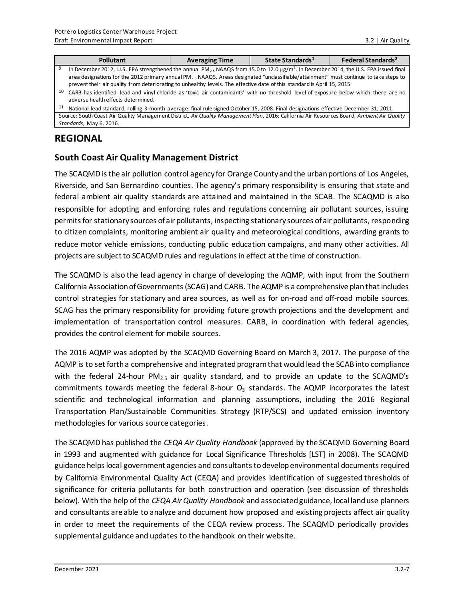|    | <b>Pollutant</b>                                                                                                                                                                                                                                                               | <b>Averaging Time</b> | State Standards <sup>1</sup> | Federal Standards <sup>2</sup> |
|----|--------------------------------------------------------------------------------------------------------------------------------------------------------------------------------------------------------------------------------------------------------------------------------|-----------------------|------------------------------|--------------------------------|
| 9  | In December 2012, U.S. EPA strengthened the annual PM <sub>2.5</sub> NAAQS from 15.0 to 12.0 $\mu$ g/m <sup>3</sup> . In December 2014, the U.S. EPA issued final                                                                                                              |                       |                              |                                |
|    | area designations for the 2012 primary annual PM <sub>2.5</sub> NAAQS. Areas designated "unclassifiable/attainment" must continue to take steps to<br>prevent their air quality from deteriorating to unhealthy levels. The effective date of this standard is April 15, 2015. |                       |                              |                                |
| 10 | CARB has identified lead and vinyl chloride as 'toxic air contaminants' with no threshold level of exposure below which there are no<br>adverse health effects determined.                                                                                                     |                       |                              |                                |
| 11 | National lead standard, rolling 3-month average: final rule signed October 15, 2008. Final designations effective December 31, 2011.                                                                                                                                           |                       |                              |                                |

Source: South Coast Air Quality Management District, *Air Quality Management Plan*, 2016; California Air Resources Board, *Ambient Air Quality Standards*, May 6, 2016.

## **REGIONAL**

### **South Coast Air Quality Management District**

The SCAQMD is the air pollution control agency for Orange County and the urban portions of Los Angeles, Riverside, and San Bernardino counties. The agency's primary responsibility is ensuring that state and federal ambient air quality standards are attained and maintained in the SCAB. The SCAQMD is also responsible for adopting and enforcing rules and regulations concerning air pollutant sources, issuing permits for stationary sources of air pollutants, inspecting stationary sources of air pollutants, responding to citizen complaints, monitoring ambient air quality and meteorological conditions, awarding grants to reduce motor vehicle emissions, conducting public education campaigns, and many other activities. All projects are subject to SCAQMD rules and regulations in effect at the time of construction.

The SCAQMD is also the lead agency in charge of developing the AQMP, with input from the Southern California Association of Governments (SCAG) and CARB. The AQMP is a comprehensive plan that includes control strategies for stationary and area sources, as well as for on-road and off-road mobile sources. SCAG has the primary responsibility for providing future growth projections and the development and implementation of transportation control measures. CARB, in coordination with federal agencies, provides the control element for mobile sources.

The 2016 AQMP was adopted by the SCAQMD Governing Board on March 3, 2017. The purpose of the AQMP is to set forth a comprehensive and integrated program that would lead the SCAB into compliance with the federal 24-hour  $PM_{2.5}$  air quality standard, and to provide an update to the SCAQMD's commitments towards meeting the federal 8-hour  $O<sub>3</sub>$  standards. The AQMP incorporates the latest scientific and technological information and planning assumptions, including the 2016 Regional Transportation Plan/Sustainable Communities Strategy (RTP/SCS) and updated emission inventory methodologies for various source categories.

The SCAQMD has published the *CEQA Air Quality Handbook* (approved by the SCAQMD Governing Board in 1993 and augmented with guidance for Local Significance Thresholds [LST] in 2008). The SCAQMD guidance helps local government agencies and consultantsto develop environmental documents required by California Environmental Quality Act (CEQA) and provides identification of suggested thresholds of significance for criteria pollutants for both construction and operation (see discussion of thresholds below). With the help of the *CEQA Air Quality Handbook* and associated guidance, local land use planners and consultants are able to analyze and document how proposed and existing projects affect air quality in order to meet the requirements of the CEQA review process. The SCAQMD periodically provides supplemental guidance and updates to the handbook on their website.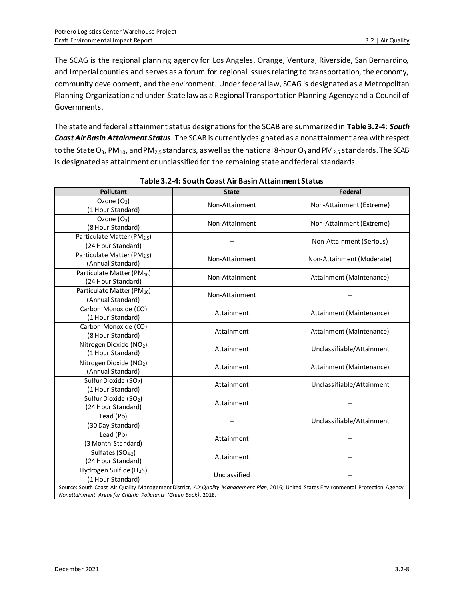The SCAG is the regional planning agency for Los Angeles, Orange, Ventura, Riverside, San Bernardino, and Imperial counties and serves as a forum for regional issues relating to transportation, the economy, community development, and the environment. Under federal law, SCAG is designated as a Metropolitan Planning Organization and under State law as a Regional Transportation Planning Agency and a Council of Governments.

The state and federal attainment status designations for the SCAB are summarized in **Table 3.2-4**: *South Coast Air Basin Attainment Status*. The SCAB is currently designated as a nonattainment area with respect to the State O<sub>3</sub>, PM<sub>10</sub>, and PM<sub>2.5</sub> standards, as well as the national 8-hour O<sub>3</sub> and PM<sub>2.5</sub> standards. The SCAB is designated as attainment or unclassified for the remaining state and federal standards.

| <b>Pollutant</b>                                                | <b>State</b>                                                                                                                           | Federal                   |
|-----------------------------------------------------------------|----------------------------------------------------------------------------------------------------------------------------------------|---------------------------|
| Ozone $(O_3)$<br>(1 Hour Standard)                              | Non-Attainment                                                                                                                         | Non-Attainment (Extreme)  |
| Ozone $(O_3)$<br>(8 Hour Standard)                              | Non-Attainment                                                                                                                         | Non-Attainment (Extreme)  |
| Particulate Matter (PM <sub>2.5</sub> )<br>(24 Hour Standard)   |                                                                                                                                        | Non-Attainment (Serious)  |
| Particulate Matter (PM <sub>2.5</sub> )<br>(Annual Standard)    | Non-Attainment                                                                                                                         | Non-Attainment (Moderate) |
| Particulate Matter (PM10)<br>(24 Hour Standard)                 | Non-Attainment                                                                                                                         | Attainment (Maintenance)  |
| Particulate Matter (PM <sub>10</sub> )<br>(Annual Standard)     | Non-Attainment                                                                                                                         |                           |
| Carbon Monoxide (CO)<br>(1 Hour Standard)                       | Attainment                                                                                                                             | Attainment (Maintenance)  |
| Carbon Monoxide (CO)<br>(8 Hour Standard)                       | Attainment                                                                                                                             | Attainment (Maintenance)  |
| Nitrogen Dioxide (NO2)<br>(1 Hour Standard)                     | Attainment                                                                                                                             | Unclassifiable/Attainment |
| Nitrogen Dioxide (NO2)<br>(Annual Standard)                     | Attainment                                                                                                                             | Attainment (Maintenance)  |
| Sulfur Dioxide (SO <sub>2</sub> )<br>(1 Hour Standard)          | Attainment                                                                                                                             | Unclassifiable/Attainment |
| Sulfur Dioxide (SO <sub>2</sub> )<br>(24 Hour Standard)         | Attainment                                                                                                                             |                           |
| Lead (Pb)<br>(30 Day Standard)                                  |                                                                                                                                        | Unclassifiable/Attainment |
| Lead (Pb)<br>(3 Month Standard)                                 | Attainment                                                                                                                             |                           |
| Sulfates (SO <sub>4-2</sub> )<br>(24 Hour Standard)             | Attainment                                                                                                                             |                           |
| Hydrogen Sulfide (H <sub>2</sub> S)<br>(1 Hour Standard)        | Unclassified                                                                                                                           |                           |
| Nonattainment Areas for Criteria Pollutants (Green Book), 2018. | Source: South Coast Air Quality Management District, Air Quality Management Plan, 2016; United States Environmental Protection Agency, |                           |

**Table 3.2-4: South Coast Air Basin Attainment Status**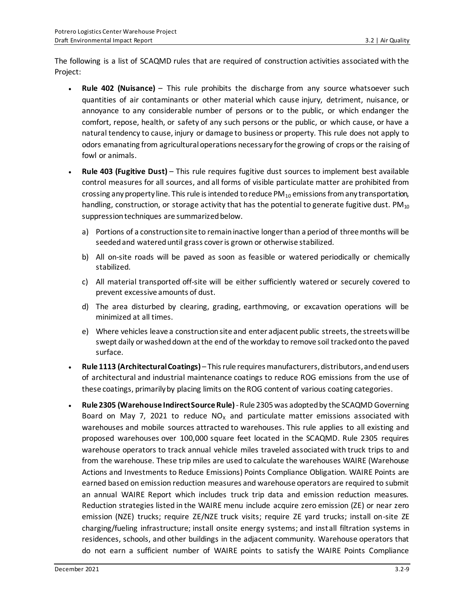The following is a list of SCAQMD rules that are required of construction activities associated with the Project:

- **Rule 402 (Nuisance)** This rule prohibits the discharge from any source whatsoever such quantities of air contaminants or other material which cause injury, detriment, nuisance, or annoyance to any considerable number of persons or to the public, or which endanger the comfort, repose, health, or safety of any such persons or the public, or which cause, or have a natural tendency to cause, injury or damage to business or property. This rule does not apply to odors emanating from agricultural operations necessary for the growing of crops or the raising of fowl or animals.
- **Rule 403 (Fugitive Dust)** This rule requires fugitive dust sources to implement best available control measures for all sources, and all forms of visible particulate matter are prohibited from crossing any property line. This rule is intended to reduce  $PM_{10}$  emissions from any transportation, handling, construction, or storage activity that has the potential to generate fugitive dust.  $PM_{10}$ suppression techniques are summarized below.
	- a) Portions of a construction site to remain inactive longer than a period of three months will be seeded and watered until grass cover is grown or otherwise stabilized.
	- b) All on-site roads will be paved as soon as feasible or watered periodically or chemically stabilized.
	- c) All material transported off-site will be either sufficiently watered or securely covered to prevent excessive amounts of dust.
	- d) The area disturbed by clearing, grading, earthmoving, or excavation operations will be minimized at all times.
	- e) Where vehicles leave a construction site and enter adjacent public streets, the streets will be swept daily or washed down at the end of the workday to remove soil tracked onto the paved surface.
- **Rule 1113 (Architectural Coatings)**  This rule requires manufacturers, distributors, and end users of architectural and industrial maintenance coatings to reduce ROG emissions from the use of these coatings, primarily by placing limits on the ROG content of various coating categories.
- **Rule 2305 (Warehouse Indirect Source Rule)**-Rule 2305 was adopted by the SCAQMD Governing Board on May 7, 2021 to reduce  $NO<sub>x</sub>$  and particulate matter emissions associated with warehouses and mobile sources attracted to warehouses. This rule applies to all existing and proposed warehouses over 100,000 square feet located in the SCAQMD. Rule 2305 requires warehouse operators to track annual vehicle miles traveled associated with truck trips to and from the warehouse. These trip miles are used to calculate the warehouses WAIRE (Warehouse Actions and Investments to Reduce Emissions) Points Compliance Obligation. WAIRE Points are earned based on emission reduction measures and warehouse operators are required to submit an annual WAIRE Report which includes truck trip data and emission reduction measures. Reduction strategies listed in the WAIRE menu include acquire zero emission (ZE) or near zero emission (NZE) trucks; require ZE/NZE truck visits; require ZE yard trucks; install on-site ZE charging/fueling infrastructure; install onsite energy systems; and install filtration systems in residences, schools, and other buildings in the adjacent community. Warehouse operators that do not earn a sufficient number of WAIRE points to satisfy the WAIRE Points Compliance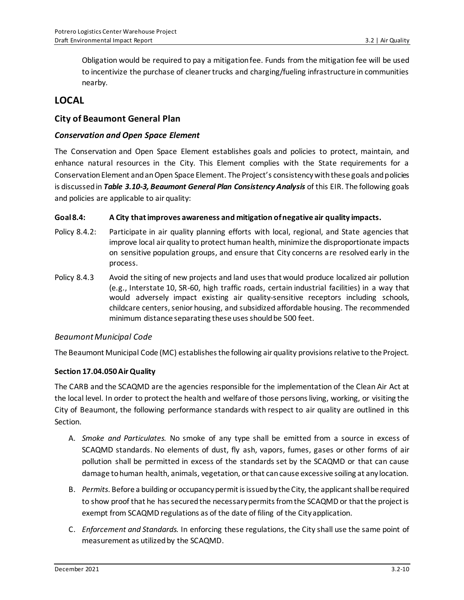Obligation would be required to pay a mitigation fee. Funds from the mitigation fee will be used to incentivize the purchase of cleaner trucks and charging/fueling infrastructure in communities nearby.

## **LOCAL**

### **City of Beaumont General Plan**

#### *Conservation and Open Space Element*

The Conservation and Open Space Element establishes goals and policies to protect, maintain, and enhance natural resources in the City. This Element complies with the State requirements for a Conservation Element and an Open Space Element. The Project's consistency with these goals and policies is discussed in *Table 3.10-3, Beaumont General Plan Consistency Analysis* of this EIR. The following goals and policies are applicable to air quality:

#### **Goal 8.4: A City that improves awareness and mitigation of negative air quality impacts.**

- Policy 8.4.2: Participate in air quality planning efforts with local, regional, and State agencies that improve local air quality to protect human health, minimize the disproportionate impacts on sensitive population groups, and ensure that City concerns are resolved early in the process.
- Policy 8.4.3 Avoid the siting of new projects and land uses that would produce localized air pollution (e.g., Interstate 10, SR-60, high traffic roads, certain industrial facilities) in a way that would adversely impact existing air quality-sensitive receptors including schools, childcare centers, senior housing, and subsidized affordable housing. The recommended minimum distance separating these uses should be 500 feet.

#### *Beaumont Municipal Code*

The Beaumont Municipal Code (MC) establishes the following air quality provisions relative to the Project.

#### **Section 17.04.050 Air Quality**

The CARB and the SCAQMD are the agencies responsible for the implementation of the Clean Air Act at the local level. In order to protect the health and welfare of those persons living, working, or visiting the City of Beaumont, the following performance standards with respect to air quality are outlined in this Section.

- A. *Smoke and Particulates.* No smoke of any type shall be emitted from a source in excess of SCAQMD standards. No elements of dust, fly ash, vapors, fumes, gases or other forms of air pollution shall be permitted in excess of the standards set by the SCAQMD or that can cause damage to human health, animals, vegetation, or that can cause excessive soiling at any location.
- B. *Permits*. Before a building or occupancy permit is issued by the City, the applicant shall be required to show proof that he has secured the necessary permits from the SCAQMD or that the project is exempt from SCAQMD regulations as of the date of filing of the City application.
- C. *Enforcement and Standards.* In enforcing these regulations, the City shall use the same point of measurement as utilized by the SCAQMD.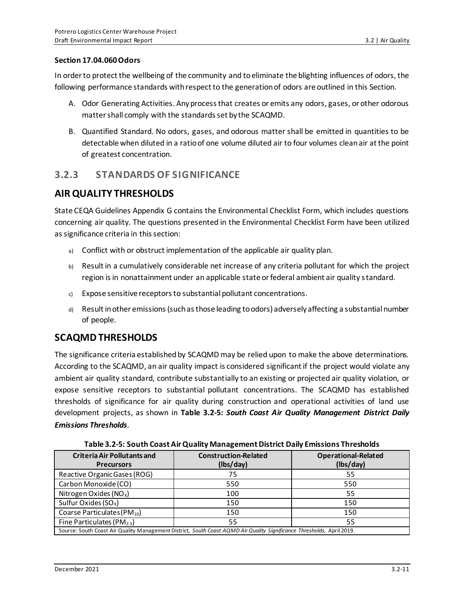#### **Section 17.04.060 Odors**

In order to protect the wellbeing of the community and to eliminate the blighting influences of odors, the following performance standards with respect to the generation of odors are outlined in this Section.

- A. Odor Generating Activities. Any process that creates or emits any odors, gases, or other odorous matter shall comply with the standards set by the SCAQMD.
- B. Quantified Standard. No odors, gases, and odorous matter shall be emitted in quantities to be detectable when diluted in a ratio of one volume diluted air to four volumes clean air at the point of greatest concentration.

## **3.2.3 STANDARDS OF SIGNIFICANCE**

## **AIR QUALITY THRESHOLDS**

State CEQA Guidelines Appendix G contains the Environmental Checklist Form, which includes questions concerning air quality. The questions presented in the Environmental Checklist Form have been utilized as significance criteria in this section:

- a) Conflict with or obstruct implementation of the applicable air quality plan.
- b) Result in a cumulatively considerable net increase of any criteria pollutant for which the project region is in nonattainment under an applicable state or federal ambient air quality standard.
- c) Expose sensitive receptors to substantial pollutant concentrations.
- d) Result in other emissions (such as those leading to odors) adversely affecting a substantial number of people.

## **SCAQMD THRESHOLDS**

The significance criteria established by SCAQMD may be relied upon to make the above determinations. According to the SCAQMD, an air quality impact is considered significant if the project would violate any ambient air quality standard, contribute substantially to an existing or projected air quality violation, or expose sensitive receptors to substantial pollutant concentrations. The SCAQMD has established thresholds of significance for air quality during construction and operational activities of land use development projects, as shown in **Table 3.2-5:** *South Coast Air Quality Management District Daily Emissions Thresholds.*

| <b>Criteria Air Pollutants and</b><br><b>Precursors</b>                                                                | <b>Construction-Related</b><br>(lbs/day) | <b>Operational-Related</b><br>(lbs/day) |  |  |  |  |
|------------------------------------------------------------------------------------------------------------------------|------------------------------------------|-----------------------------------------|--|--|--|--|
| Reactive Organic Gases (ROG)                                                                                           | 75                                       | 55                                      |  |  |  |  |
| Carbon Monoxide (CO)                                                                                                   | 550                                      | 550                                     |  |  |  |  |
| Nitrogen Oxides ( $NOx$ )                                                                                              | 100                                      | 55                                      |  |  |  |  |
| Sulfur Oxides (SO <sub>x</sub> )                                                                                       | 150                                      | 150                                     |  |  |  |  |
| Coarse Particulates (PM10)                                                                                             | 150                                      | 150                                     |  |  |  |  |
| Fine Particulates ( $PM_{2.5}$ )                                                                                       | 55                                       | 55                                      |  |  |  |  |
| Source: South Coast Air Quality Management District, South Coast AQMD Air Quality Significance Thresholds, April 2019. |                                          |                                         |  |  |  |  |

**Table 3.2-5: South Coast Air Quality Management District Daily Emissions Thresholds**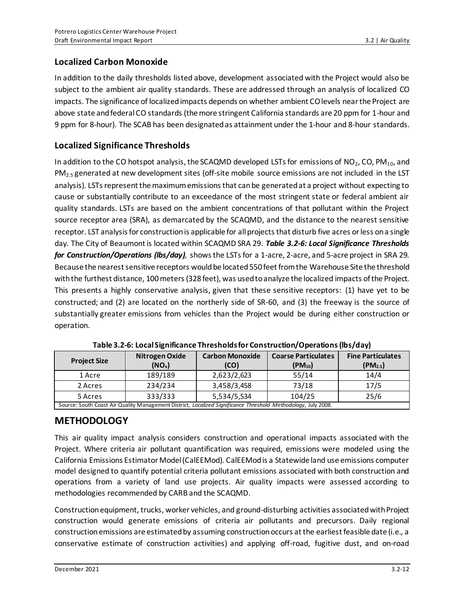## **Localized Carbon Monoxide**

In addition to the daily thresholds listed above, development associated with the Project would also be subject to the ambient air quality standards. These are addressed through an analysis of localized CO impacts. The significance of localized impacts depends on whether ambient CO levels near the Project are above state and federal CO standards (the more stringent California standards are 20 ppm for 1-hour and 9 ppm for 8-hour). The SCAB has been designated as attainment under the 1-hour and 8-hour standards.

### **Localized Significance Thresholds**

In addition to the CO hotspot analysis, the SCAQMD developed LSTs for emissions of  $NO<sub>2</sub>$ , CO, PM<sub>10</sub>, and  $PM<sub>2.5</sub>$  generated at new development sites (off-site mobile source emissions are not included in the LST analysis). LSTs represent the maximum emissions that can be generated at a project without expecting to cause or substantially contribute to an exceedance of the most stringent state or federal ambient air quality standards. LSTs are based on the ambient concentrations of that pollutant within the Project source receptor area (SRA), as demarcated by the SCAQMD, and the distance to the nearest sensitive receptor. LST analysis for construction is applicable for all projects that disturb five acres or less on a single day. The City of Beaumont is located within SCAQMD SRA 29. *Table 3.2-6: Local Significance Thresholds for Construction/Operations (lbs/day),* shows the LSTs for a 1-acre, 2-acre, and 5-acre project in SRA 29. Because the nearest sensitive receptors would be located 550 feet from the Warehouse Site the threshold with the furthest distance, 100 meters (328 feet), was used to analyze the localized impacts of the Project. This presents a highly conservative analysis, given that these sensitive receptors: (1) have yet to be constructed; and (2) are located on the northerly side of SR-60, and (3) the freeway is the source of substantially greater emissions from vehicles than the Project would be during either construction or operation.

| <b>Project Size</b> | <b>Carbon Monoxide</b><br>Nitrogen Oxide<br>(NO <sub>x</sub> )                                                |             | <b>Coarse Particulates</b><br>$(PM_{10})$ | <b>Fine Particulates</b><br>$(PM_{2.5})$ |  |  |  |
|---------------------|---------------------------------------------------------------------------------------------------------------|-------------|-------------------------------------------|------------------------------------------|--|--|--|
| 1 Acre              | 189/189                                                                                                       | 2,623/2,623 | 55/14                                     | 14/4                                     |  |  |  |
| 2 Acres             | 234/234                                                                                                       | 3,458/3,458 | 73/18                                     | 17/5                                     |  |  |  |
| 5 Acres             | 333/333                                                                                                       | 5,534/5,534 | 104/25                                    | 25/6                                     |  |  |  |
|                     | Source: South Coast Air Quality Management District, Localized Significance Threshold Methodology, July 2008. |             |                                           |                                          |  |  |  |

**Table 3.2-6: Local Significance Thresholds for Construction/Operations(lbs/day)**

## **METHODOLOGY**

This air quality impact analysis considers construction and operational impacts associated with the Project. Where criteria air pollutant quantification was required, emissions were modeled using the California Emissions Estimator Model (CalEEMod). CalEEMod is a Statewide land use emissions computer model designed to quantify potential criteria pollutant emissions associated with both construction and operations from a variety of land use projects. Air quality impacts were assessed according to methodologies recommended by CARB and the SCAQMD.

Construction equipment, trucks, worker vehicles, and ground-disturbing activities associated with Project construction would generate emissions of criteria air pollutants and precursors. Daily regional construction emissions are estimated by assuming construction occurs at the earliest feasible date (i.e., a conservative estimate of construction activities) and applying off-road, fugitive dust, and on-road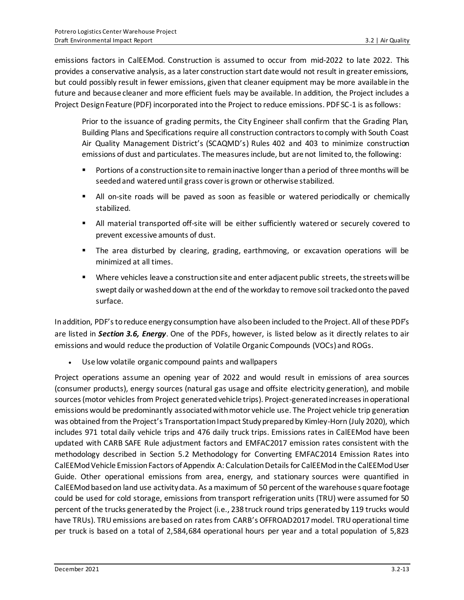emissions factors in CalEEMod. Construction is assumed to occur from mid-2022 to late 2022. This provides a conservative analysis, as a later construction start date would not result in greater emissions, but could possibly result in fewer emissions, given that cleaner equipment may be more available in the future and because cleaner and more efficient fuels may be available. In addition, the Project includes a Project Design Feature (PDF) incorporated into the Project to reduce emissions. PDF SC-1 is as follows:

Prior to the issuance of grading permits, the City Engineer shall confirm that the Grading Plan, Building Plans and Specifications require all construction contractors to comply with South Coast Air Quality Management District's (SCAQMD's) Rules 402 and 403 to minimize construction emissions of dust and particulates. The measures include, but are not limited to, the following:

- **•** Portions of a construction site to remain inactive longer than a period of three months will be seeded and watered until grass cover is grown or otherwise stabilized.
- All on-site roads will be paved as soon as feasible or watered periodically or chemically stabilized.
- All material transported off-site will be either sufficiently watered or securely covered to prevent excessive amounts of dust.
- **•** The area disturbed by clearing, grading, earthmoving, or excavation operations will be minimized at all times.
- Where vehicles leave a construction site and enter adjacent public streets, the streets will be swept daily or washed down at the end of the workday to remove soil tracked onto the paved surface.

In addition, PDF's to reduce energy consumption have also been included to the Project. All of these PDF's are listed in *Section 3.6, Energy*. One of the PDFs, however, is listed below as it directly relates to air emissions and would reduce the production of Volatile Organic Compounds (VOCs) and ROGs.

• Use low volatile organic compound paints and wallpapers

Project operations assume an opening year of 2022 and would result in emissions of area sources (consumer products), energy sources (natural gas usage and offsite electricity generation), and mobile sources (motor vehicles from Project generated vehicle trips). Project-generated increases in operational emissions would be predominantly associated with motor vehicle use. The Project vehicle trip generation was obtained from the Project's Transportation Impact Study prepared by Kimley-Horn (July 2020), which includes 971 total daily vehicle trips and 476 daily truck trips. Emissions rates in CalEEMod have been updated with CARB SAFE Rule adjustment factors and EMFAC2017 emission rates consistent with the methodology described in Section 5.2 Methodology for Converting EMFAC2014 Emission Rates into CalEEMod Vehicle Emission Factors of Appendix A: Calculation Details for CalEEMod in the CalEEMod User Guide. Other operational emissions from area, energy, and stationary sources were quantified in CalEEMod based on land use activity data. As a maximum of 50 percent of the warehouse square footage could be used for cold storage, emissions from transport refrigeration units (TRU) were assumed for 50 percent of the trucks generated by the Project (i.e., 238 truck round trips generated by 119 trucks would have TRUs). TRU emissions are based on rates from CARB's OFFROAD2017 model. TRU operational time per truck is based on a total of 2,584,684 operational hours per year and a total population of 5,823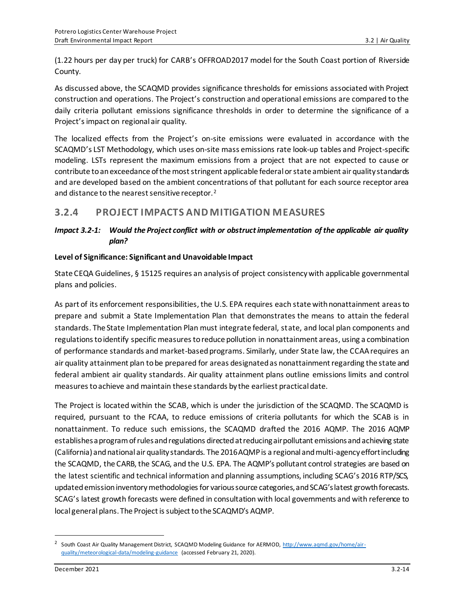(1.22 hours per day per truck) for CARB's OFFROAD2017 model for the South Coast portion of Riverside County.

As discussed above, the SCAQMD provides significance thresholds for emissions associated with Project construction and operations. The Project's construction and operational emissions are compared to the daily criteria pollutant emissions significance thresholds in order to determine the significance of a Project's impact on regional air quality.

The localized effects from the Project's on-site emissions were evaluated in accordance with the SCAQMD's LST Methodology, which uses on-site mass emissions rate look-up tables and Project-specific modeling. LSTs represent the maximum emissions from a project that are not expected to cause or contribute to an exceedance of the most stringent applicable federal or state ambient air quality standards and are developed based on the ambient concentrations of that pollutant for each source receptor area and distance to the nearest sensitive receptor.<sup>2</sup>

## **3.2.4 PROJECT IMPACTS AND MITIGATION MEASURES**

### *Impact 3.2-1: Would the Project conflict with or obstruct implementation of the applicable air quality plan?*

#### **Level of Significance: Significant and Unavoidable Impact**

State CEQA Guidelines, § 15125 requires an analysis of project consistency with applicable governmental plans and policies.

As part of its enforcement responsibilities, the U.S. EPA requires each state with nonattainment areas to prepare and submit a State Implementation Plan that demonstrates the means to attain the federal standards. The State Implementation Plan must integrate federal, state, and local plan components and regulations to identify specific measuresto reduce pollution in nonattainment areas, using a combination of performance standards and market-based programs. Similarly, under State law, the CCAA requires an air quality attainment plan to be prepared for areas designated as nonattainment regarding the state and federal ambient air quality standards. Air quality attainment plans outline emissions limits and control measures to achieve and maintain these standards by the earliest practical date.

The Project is located within the SCAB, which is under the jurisdiction of the SCAQMD. The SCAQMD is required, pursuant to the FCAA, to reduce emissions of criteria pollutants for which the SCAB is in nonattainment. To reduce such emissions, the SCAQMD drafted the 2016 AQMP. The 2016 AQMP establishes a program of rules and regulations directed at reducing air pollutant emissions and achieving state (California) and national air quality standards. The 2016 AQMP is a regional and multi-agency effort including the SCAQMD, the CARB, the SCAG, and the U.S. EPA. The AQMP's pollutant control strategies are based on the latest scientific and technical information and planning assumptions, including SCAG's 2016 RTP/SCS, updated emission inventory methodologies for various source categories, and SCAG's latest growth forecasts. SCAG's latest growth forecasts were defined in consultation with local governments and with reference to local general plans. The Project is subject to the SCAQMD's AQMP.

<sup>&</sup>lt;sup>2</sup> South Coast Air Quality Management District, SCAQMD Modeling Guidance for AERMOD, [http://www.aqmd.gov/home/air](http://www.aqmd.gov/home/air-quality/meteorological-data/modeling-guidance)[quality/meteorological-data/modeling-guidance](http://www.aqmd.gov/home/air-quality/meteorological-data/modeling-guidance) (accessed February 21, 2020).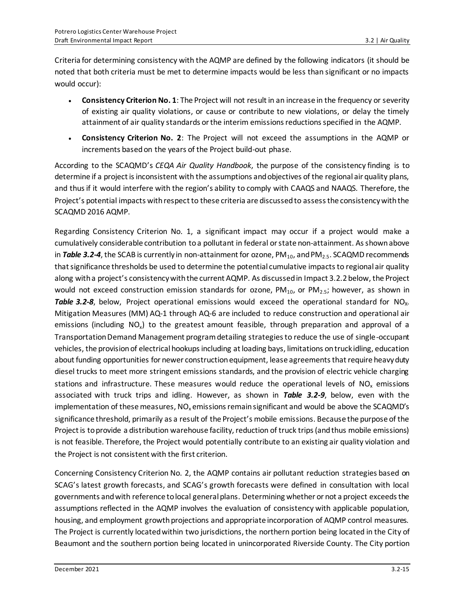Criteria for determining consistency with the AQMP are defined by the following indicators (it should be noted that both criteria must be met to determine impacts would be less than significant or no impacts would occur):

- **Consistency Criterion No. 1**: The Project will not result in an increase in the frequency or severity of existing air quality violations, or cause or contribute to new violations, or delay the timely attainment of air quality standards or the interim emissions reductions specified in the AQMP.
- **Consistency Criterion No. 2**: The Project will not exceed the assumptions in the AQMP or increments based on the years of the Project build-out phase.

According to the SCAQMD's *CEQA Air Quality Handbook*, the purpose of the consistency finding is to determine if a project is inconsistent with the assumptions and objectives of the regional air quality plans, and thus if it would interfere with the region's ability to comply with CAAQS and NAAQS. Therefore, the Project's potential impacts with respect to these criteria are discussed to assess the consistency with the SCAQMD 2016 AQMP.

Regarding Consistency Criterion No. 1, a significant impact may occur if a project would make a cumulatively considerable contribution toa pollutant in federal or state non-attainment. As shown above in **Table 3.2-4**, the SCAB is currently in non-attainment for ozone, PM<sub>10</sub>, and PM<sub>2.5</sub>. SCAQMD recommends that significance thresholds be used to determine the potential cumulative impacts to regional air quality along with a project's consistency with the current AQMP. As discussed in Impact 3.2.2 below, the Project would not exceed construction emission standards for ozone,  $PM_{10}$ , or  $PM_{2.5}$ ; however, as shown in **Table 3.2-8**, below, Project operational emissions would exceed the operational standard for NO<sub>x</sub>. Mitigation Measures (MM) AQ-1 through AQ-6 are included to reduce construction and operational air emissions (including NO<sub>x</sub>) to the greatest amount feasible, through preparation and approval of a Transportation Demand Management program detailing strategies to reduce the use of single-occupant vehicles, the provision of electrical hookups including at loading bays, limitations on truck idling, education about funding opportunities for newer construction equipment, lease agreements that require heavy duty diesel trucks to meet more stringent emissions standards, and the provision of electric vehicle charging stations and infrastructure. These measures would reduce the operational levels of  $NO<sub>x</sub>$  emissions associated with truck trips and idling. However, as shown in *Table 3.2-9*, below, even with the implementation of these measures,  $NO<sub>x</sub>$  emissions remain significant and would be above the SCAQMD's significance threshold, primarily as a result of the Project's mobile emissions. Because the purpose of the Project is to provide a distribution warehouse facility, reduction of truck trips (and thus mobile emissions) is not feasible. Therefore, the Project would potentially contribute to an existing air quality violation and the Project is not consistent with the first criterion.

Concerning Consistency Criterion No. 2, the AQMP contains air pollutant reduction strategies based on SCAG's latest growth forecasts, and SCAG's growth forecasts were defined in consultation with local governments and with reference to local general plans. Determining whether or not a project exceeds the assumptions reflected in the AQMP involves the evaluation of consistency with applicable population, housing, and employment growth projections and appropriate incorporation of AQMP control measures. The Project is currently located within two jurisdictions, the northern portion being located in the City of Beaumont and the southern portion being located in unincorporated Riverside County. The City portion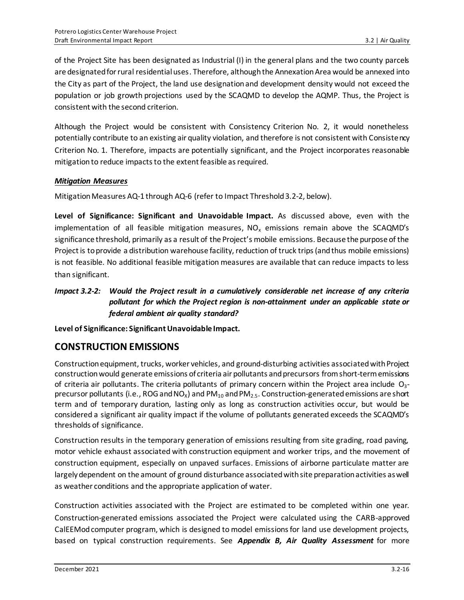of the Project Site has been designated as Industrial (I) in the general plans and the two county parcels are designated for rural residential uses. Therefore, although the Annexation Area would be annexed into the City as part of the Project, the land use designation and development density would not exceed the population or job growth projections used by the SCAQMD to develop the AQMP. Thus, the Project is consistent with the second criterion.

Although the Project would be consistent with Consistency Criterion No. 2, it would nonetheless potentially contribute to an existing air quality violation, and therefore is not consistent with Consistency Criterion No. 1. Therefore, impacts are potentially significant, and the Project incorporates reasonable mitigation to reduce impacts to the extent feasible as required.

#### *Mitigation Measures*

Mitigation Measures AQ-1 through AQ-6 (refer to Impact Threshold 3.2-2, below).

**Level of Significance: Significant and Unavoidable Impact.** As discussed above, even with the implementation of all feasible mitigation measures,  $NO<sub>x</sub>$  emissions remain above the SCAQMD's significance threshold, primarily as a result of the Project's mobile emissions. Because the purpose of the Project is to provide a distribution warehouse facility, reduction of truck trips (and thus mobile emissions) is not feasible. No additional feasible mitigation measures are available that can reduce impacts to less than significant.

### *Impact 3.2-2: Would the Project result in a cumulatively considerable net increase of any criteria pollutant for which the Project region is non-attainment under an applicable state or federal ambient air quality standard?*

**Level of Significance: Significant Unavoidable Impact.**

## **CONSTRUCTION EMISSIONS**

Construction equipment, trucks, worker vehicles, and ground‐disturbing activities associated with Project construction would generate emissions of criteria air pollutants and precursors from short-term emissions of criteria air pollutants. The criteria pollutants of primary concern within the Project area include  $O_{3}$ precursor pollutants (i.e., ROG and  $NO_x$ ) and  $PM_{10}$  and  $PM_{2.5}$ . Construction-generated emissions are short term and of temporary duration, lasting only as long as construction activities occur, but would be considered a significant air quality impact if the volume of pollutants generated exceeds the SCAQMD's thresholds of significance.

Construction results in the temporary generation of emissions resulting from site grading, road paving, motor vehicle exhaust associated with construction equipment and worker trips, and the movement of construction equipment, especially on unpaved surfaces. Emissions of airborne particulate matter are largely dependent on the amount of ground disturbance associated with site preparation activities as well as weather conditions and the appropriate application of water.

Construction activities associated with the Project are estimated to be completed within one year. Construction-generated emissions associated the Project were calculated using the CARB-approved CalEEMod computer program, which is designed to model emissions for land use development projects, based on typical construction requirements. See *Appendix B, Air Quality Assessment* for more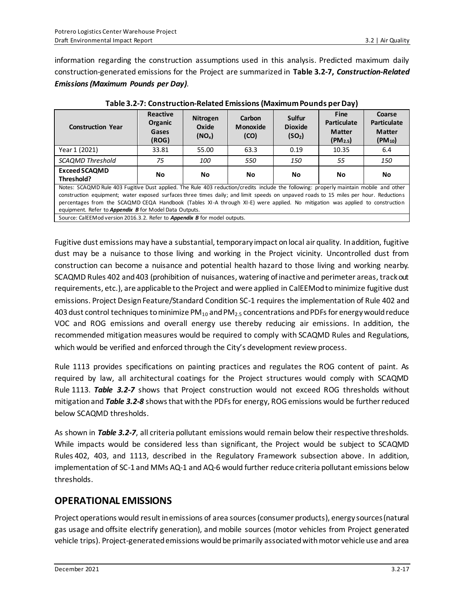equipment. Refer to *Appendix B* for Model Data Outputs.

information regarding the construction assumptions used in this analysis. Predicted maximum daily construction-generated emissions for the Project are summarized in **Table 3.2-7,** *Construction-Related Emissions(Maximum Pounds per Day).*

| <b>Construction Year</b>                                                                                                                                                                                                                                             | <b>Reactive</b><br><b>Organic</b><br>Gases<br>(ROG) | <b>Nitrogen</b><br>Oxide<br>(NO <sub>x</sub> ) | Carbon<br><b>Monoxide</b><br>(CO) | Sulfur<br><b>Dioxide</b><br>(SO <sub>2</sub> ) | <b>Fine</b><br><b>Particulate</b><br><b>Matter</b><br>(PM <sub>2.5</sub> ) | Coarse<br><b>Particulate</b><br><b>Matter</b><br>$(PM_{10})$ |
|----------------------------------------------------------------------------------------------------------------------------------------------------------------------------------------------------------------------------------------------------------------------|-----------------------------------------------------|------------------------------------------------|-----------------------------------|------------------------------------------------|----------------------------------------------------------------------------|--------------------------------------------------------------|
| Year 1 (2021)                                                                                                                                                                                                                                                        | 33.81                                               | 55.00                                          | 63.3                              | 0.19                                           | 10.35                                                                      | 6.4                                                          |
| <b>SCAOMD Threshold</b>                                                                                                                                                                                                                                              | 75                                                  | 100                                            | 550                               | 150                                            | 55                                                                         | 150                                                          |
| <b>Exceed SCAQMD</b><br>Threshold?                                                                                                                                                                                                                                   | No                                                  | No.                                            | <b>No</b>                         | No                                             | No                                                                         | No                                                           |
| Notes: SCAQMD Rule 403 Fugitive Dust applied. The Rule 403 reduction/credits include the following: properly maintain mobile and other                                                                                                                               |                                                     |                                                |                                   |                                                |                                                                            |                                                              |
| construction equipment; water exposed surfaces three times daily; and limit speeds on unpaved roads to 15 miles per hour. Reductions<br>percentages from the SCAQMD CEQA Handbook (Tables XI-A through XI-E) were applied. No mitigation was applied to construction |                                                     |                                                |                                   |                                                |                                                                            |                                                              |

**Table 3.2-7: Construction-Related Emissions(Maximum Pounds per Day)**

Source: CalEEMod version 2016.3.2. Refer to *Appendix B* for model outputs. Fugitive dust emissions may have a substantial, temporary impact on local air quality. In addition, fugitive dust may be a nuisance to those living and working in the Project vicinity. Uncontrolled dust from construction can become a nuisance and potential health hazard to those living and working nearby. SCAQMD Rules 402 and 403 (prohibition of nuisances, watering of inactive and perimeter areas, track out requirements, etc.), are applicable to the Project and were applied in CalEEMod to minimize fugitive dust emissions. Project Design Feature/Standard Condition SC-1 requires the implementation of Rule 402 and 403 dust control techniques to minimize  $PM_{10}$  and  $PM_{2.5}$  concentrations and PDFs for energy would reduce VOC and ROG emissions and overall energy use thereby reducing air emissions. In addition, the recommended mitigation measures would be required to comply with SCAQMD Rules and Regulations,

Rule 1113 provides specifications on painting practices and regulates the ROG content of paint. As required by law, all architectural coatings for the Project structures would comply with SCAQMD Rule 1113. *Table 3.2-7* shows that Project construction would not exceed ROG thresholds without mitigation and *Table 3.2-8* shows that with the PDFs for energy, ROG emissions would be further reduced below SCAQMD thresholds.

which would be verified and enforced through the City's development review process.

As shown in *Table 3.2-7*, all criteria pollutant emissions would remain below their respective thresholds. While impacts would be considered less than significant, the Project would be subject to SCAQMD Rules 402, 403, and 1113, described in the Regulatory Framework subsection above. In addition, implementation of SC-1 and MMs AQ-1 and AQ-6 would further reduce criteria pollutant emissions below thresholds.

## **OPERATIONAL EMISSIONS**

Project operations would result in emissions of area sources (consumer products), energy sources (natural gas usage and offsite electrify generation), and mobile sources (motor vehicles from Project generated vehicle trips). Project-generated emissions would be primarily associated with motor vehicle use and area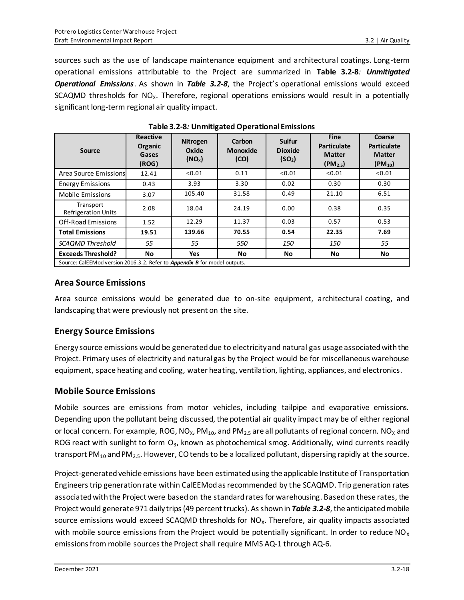sources such as the use of landscape maintenance equipment and architectural coatings. Long-term operational emissions attributable to the Project are summarized in **Table 3.2-8***: Unmitigated Operational Emissions*. As shown in *Table 3.2-8*, the Project's operational emissions would exceed SCAQMD thresholds for  $NO<sub>X</sub>$ . Therefore, regional operations emissions would result in a potentially significant long-term regional air quality impact.

| Source                                                                           | <b>Reactive</b><br>Organic<br>Gases<br>(ROG) | <b>Nitrogen</b><br>Oxide<br>(NO <sub>x</sub> ) | Carbon<br>Monoxide<br>(CO) | <b>Sulfur</b><br><b>Dioxide</b><br>(SO <sub>2</sub> ) | <b>Fine</b><br><b>Particulate</b><br><b>Matter</b><br>(PM <sub>2.5</sub> ) | Coarse<br><b>Particulate</b><br><b>Matter</b><br>$(PM_{10})$ |  |
|----------------------------------------------------------------------------------|----------------------------------------------|------------------------------------------------|----------------------------|-------------------------------------------------------|----------------------------------------------------------------------------|--------------------------------------------------------------|--|
| Area Source Emissions                                                            | 12.41                                        | < 0.01                                         | 0.11                       | < 0.01                                                | < 0.01                                                                     | < 0.01                                                       |  |
| <b>Energy Emissions</b>                                                          | 0.43                                         | 3.93                                           | 3.30                       | 0.02                                                  | 0.30                                                                       | 0.30                                                         |  |
| Mobile Emissions                                                                 | 3.07                                         | 105.40                                         | 31.58                      | 0.49                                                  | 21.10                                                                      | 6.51                                                         |  |
| Transport<br><b>Refrigeration Units</b>                                          | 2.08                                         | 18.04                                          | 24.19                      | 0.00                                                  | 0.38                                                                       | 0.35                                                         |  |
| Off-Road Emissions                                                               | 1.52                                         | 12.29                                          | 11.37                      | 0.03                                                  | 0.57                                                                       | 0.53                                                         |  |
| <b>Total Emissions</b>                                                           | 19.51                                        | 139.66                                         | 70.55                      | 0.54                                                  | 22.35                                                                      | 7.69                                                         |  |
| <b>SCAQMD Threshold</b>                                                          | 55                                           | 55                                             | 550                        | 150                                                   | 150                                                                        | 55                                                           |  |
| <b>Exceeds Threshold?</b>                                                        | No                                           | Yes                                            | No                         | No                                                    | No                                                                         | No                                                           |  |
| Source: CalEEMod version 2016.3.2. Refer to <b>Appendix B</b> for model outputs. |                                              |                                                |                            |                                                       |                                                                            |                                                              |  |

**Table 3.2-8***:* **Unmitigated Operational Emissions**

Source: CalEEMod version 2016.3.2. Refer to *Appendix B* for model outputs.

### **Area Source Emissions**

Area source emissions would be generated due to on-site equipment, architectural coating, and landscaping that were previously not present on the site.

### **Energy Source Emissions**

Energy source emissions would be generated due to electricity and natural gas usage associated with the Project. Primary uses of electricity and natural gas by the Project would be for miscellaneous warehouse equipment, space heating and cooling, water heating, ventilation, lighting, appliances, and electronics.

### **Mobile Source Emissions**

Mobile sources are emissions from motor vehicles, including tailpipe and evaporative emissions. Depending upon the pollutant being discussed, the potential air quality impact may be of either regional or local concern. For example, ROG, NO<sub>x</sub>, PM<sub>10</sub>, and PM<sub>2.5</sub> are all pollutants of regional concern. NO<sub>x</sub> and ROG react with sunlight to form  $O_3$ , known as photochemical smog. Additionally, wind currents readily transport  $PM_{10}$  and  $PM_{2.5}$ . However, CO tends to be a localized pollutant, dispersing rapidly at the source.

Project-generated vehicle emissions have been estimated using the applicable Institute of Transportation Engineers trip generation rate within CalEEMod as recommended by the SCAQMD. Trip generation rates associated with the Project were basedon the standard rates for warehousing. Based on these rates, the Project would generate 971 daily trips (49 percent trucks). As shown in *Table 3.2-8*, the anticipated mobile source emissions would exceed SCAQMD thresholds for  $NO<sub>x</sub>$ . Therefore, air quality impacts associated with mobile source emissions from the Project would be potentially significant. In order to reduce  $NO<sub>X</sub>$ emissions from mobile sources the Project shall require MMS AQ-1 through AQ-6.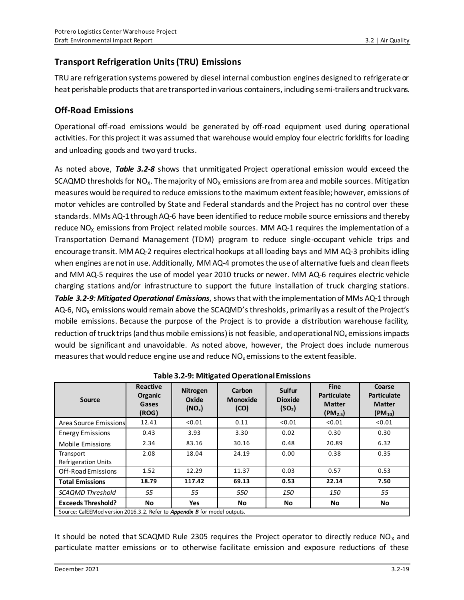## **Transport Refrigeration Units (TRU) Emissions**

TRU are refrigeration systems powered by diesel internal combustion engines designed to refrigerate or heat perishable products that are transported in various containers, including semi-trailers and truck vans.

### **Off-Road Emissions**

Operational off-road emissions would be generated by off-road equipment used during operational activities. For this project it was assumed that warehouse would employ four electric forklifts for loading and unloading goods and two yard trucks.

As noted above, *Table 3.2-8* shows that unmitigated Project operational emission would exceed the SCAQMD thresholds for NO<sub>x</sub>. The majority of NO<sub>x</sub> emissions are from area and mobile sources. Mitigation measures would be required to reduce emissions to the maximum extent feasible; however, emissions of motor vehicles are controlled by State and Federal standards and the Project has no control over these standards. MMs AQ-1 through AQ-6 have been identified to reduce mobile source emissions and thereby reduce  $NO<sub>x</sub>$  emissions from Project related mobile sources. MM AQ-1 requires the implementation of a Transportation Demand Management (TDM) program to reduce single-occupant vehicle trips and encourage transit. MM AQ-2 requires electrical hookups at all loading bays and MM AQ-3 prohibits idling when engines are not in use. Additionally, MM AQ-4 promotes the use of alternative fuels and clean fleets and MM AQ-5 requires the use of model year 2010 trucks or newer. MM AQ-6 requires electric vehicle charging stations and/or infrastructure to support the future installation of truck charging stations. *Table 3.2-9: Mitigated Operational Emissions,*shows that with the implementation of MMs AQ-1 through AQ-6, NO<sub>x</sub> emissions would remain above the SCAQMD's thresholds, primarily as a result of the Project's mobile emissions. Because the purpose of the Project is to provide a distribution warehouse facility, reduction of truck trips (and thus mobile emissions) is not feasible, and operational  $NO<sub>x</sub>$  emissions impacts would be significant and unavoidable. As noted above, however, the Project does include numerous measures that would reduce engine use and reduce  $NO<sub>x</sub>$  emissions to the extent feasible.

| Source                                                                    | <b>Reactive</b><br>Organic<br>Gases<br>(ROG) | Nitrogen<br>Oxide<br>(NO <sub>x</sub> ) | Carbon<br>Monoxide<br>(CO) | Sulfur<br><b>Dioxide</b><br>(SO <sub>2</sub> ) | Fine<br><b>Particulate</b><br><b>Matter</b><br>(PM <sub>2.5</sub> ) | Coarse<br><b>Particulate</b><br><b>Matter</b><br>$(PM_{10})$ |  |
|---------------------------------------------------------------------------|----------------------------------------------|-----------------------------------------|----------------------------|------------------------------------------------|---------------------------------------------------------------------|--------------------------------------------------------------|--|
| Area Source Emissions                                                     | 12.41                                        | < 0.01                                  | 0.11                       | < 0.01                                         | < 0.01                                                              | < 0.01                                                       |  |
| <b>Energy Emissions</b>                                                   | 0.43                                         | 3.93                                    | 3.30                       | 0.02                                           | 0.30                                                                | 0.30                                                         |  |
| <b>Mobile Emissions</b>                                                   | 2.34                                         | 83.16                                   | 30.16                      | 0.48                                           | 20.89                                                               | 6.32                                                         |  |
| Transport<br><b>Refrigeration Units</b>                                   | 2.08                                         | 18.04                                   | 24.19                      | 0.00                                           | 0.38                                                                | 0.35                                                         |  |
| Off-Road Emissions                                                        | 1.52                                         | 12.29                                   | 11.37                      | 0.03                                           | 0.57                                                                | 0.53                                                         |  |
| <b>Total Emissions</b>                                                    | 18.79                                        | 117.42                                  | 69.13                      | 0.53                                           | 22.14                                                               | 7.50                                                         |  |
| <b>SCAOMD Threshold</b>                                                   | 55                                           | 55                                      | 550                        | 150                                            | 150                                                                 | 55                                                           |  |
| <b>Exceeds Threshold?</b>                                                 | <b>No</b>                                    | <b>Yes</b>                              | <b>No</b>                  | No                                             | No                                                                  | No                                                           |  |
| Source: CalEEMod version 2016.3.2. Refer to Appendix B for model outputs. |                                              |                                         |                            |                                                |                                                                     |                                                              |  |

|  | Table 3.2-9: Mitigated Operational Emissions |
|--|----------------------------------------------|
|--|----------------------------------------------|

It should be noted that SCAQMD Rule 2305 requires the Project operator to directly reduce  $NO<sub>x</sub>$  and particulate matter emissions or to otherwise facilitate emission and exposure reductions of these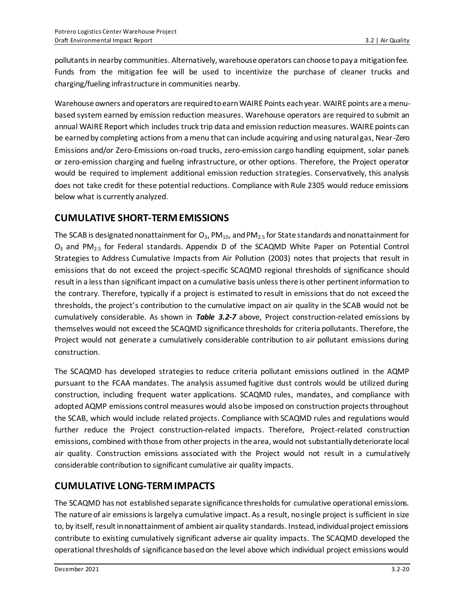pollutants in nearby communities. Alternatively, warehouse operators can choose to pay a mitigation fee. Funds from the mitigation fee will be used to incentivize the purchase of cleaner trucks and charging/fueling infrastructure in communities nearby.

Warehouse owners and operators are required to earn WAIRE Points each year. WAIRE points are a menubased system earned by emission reduction measures. Warehouse operators are required to submit an annual WAIRE Report which includes truck trip data and emission reduction measures. WAIRE points can be earned by completing actions from a menu that can include acquiring and using natural gas, Near-Zero Emissions and/or Zero-Emissions on-road trucks, zero-emission cargo handling equipment, solar panels or zero-emission charging and fueling infrastructure, or other options. Therefore, the Project operator would be required to implement additional emission reduction strategies. Conservatively, this analysis does not take credit for these potential reductions. Compliance with Rule 2305 would reduce emissions below what is currently analyzed.

## **CUMULATIVE SHORT-TERM EMISSIONS**

The SCAB is designated nonattainment for  $O_3$ , PM<sub>10</sub>, and PM<sub>2.5</sub> for State standards and nonattainment for  $O_3$  and PM<sub>2.5</sub> for Federal standards. Appendix D of the SCAQMD White Paper on Potential Control Strategies to Address Cumulative Impacts from Air Pollution (2003) notes that projects that result in emissions that do not exceed the project-specific SCAQMD regional thresholds of significance should result in a less than significant impact on a cumulative basis unless there is other pertinent information to the contrary. Therefore, typically if a project is estimated to result in emissions that do not exceed the thresholds, the project's contribution to the cumulative impact on air quality in the SCAB would not be cumulatively considerable. As shown in *Table 3.2-7* above, Project construction-related emissions by themselves would not exceed the SCAQMD significance thresholds for criteria pollutants. Therefore, the Project would not generate a cumulatively considerable contribution to air pollutant emissions during construction.

The SCAQMD has developed strategies to reduce criteria pollutant emissions outlined in the AQMP pursuant to the FCAA mandates. The analysis assumed fugitive dust controls would be utilized during construction, including frequent water applications. SCAQMD rules, mandates, and compliance with adopted AQMP emissions control measures would also be imposed on construction projects throughout the SCAB, which would include related projects. Compliance with SCAQMD rules and regulations would further reduce the Project construction-related impacts. Therefore, Project-related construction emissions, combined with those from other projects in the area, would not substantially deteriorate local air quality. Construction emissions associated with the Project would not result in a cumulatively considerable contribution to significant cumulative air quality impacts.

## **CUMULATIVE LONG-TERM IMPACTS**

The SCAQMD has not established separate significance thresholds for cumulative operational emissions. The nature of air emissions is largely a cumulative impact. As a result, no single project is sufficient in size to, by itself, result in nonattainment of ambient air quality standards. Instead, individual project emissions contribute to existing cumulatively significant adverse air quality impacts. The SCAQMD developed the operational thresholds of significance based on the level above which individual project emissions would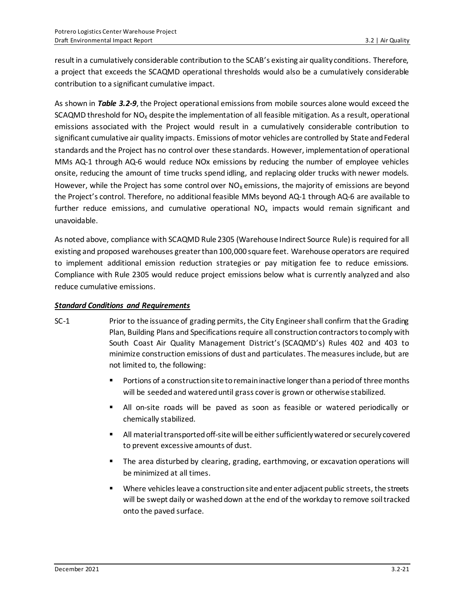result in a cumulatively considerable contribution to the SCAB's existing air quality conditions. Therefore, a project that exceeds the SCAQMD operational thresholds would also be a cumulatively considerable contribution to a significant cumulative impact.

As shown in *Table 3.2-9*, the Project operational emissions from mobile sources alone would exceed the SCAQMD threshold for  $NO<sub>x</sub>$  despite the implementation of all feasible mitigation. As a result, operational emissions associated with the Project would result in a cumulatively considerable contribution to significant cumulative air quality impacts. Emissions of motor vehicles are controlled by State and Federal standards and the Project has no control over these standards. However, implementation of operational MMs AQ-1 through AQ-6 would reduce NOx emissions by reducing the number of employee vehicles onsite, reducing the amount of time trucks spend idling, and replacing older trucks with newer models. However, while the Project has some control over  $NO<sub>x</sub>$  emissions, the majority of emissions are beyond the Project's control. Therefore, no additional feasible MMs beyond AQ-1 through AQ-6 are available to further reduce emissions, and cumulative operational NO<sub>x</sub> impacts would remain significant and unavoidable.

As noted above, compliance with SCAQMD Rule 2305 (Warehouse Indirect Source Rule) is required for all existing and proposed warehouses greater than 100,000 square feet. Warehouse operators are required to implement additional emission reduction strategies or pay mitigation fee to reduce emissions. Compliance with Rule 2305 would reduce project emissions below what is currently analyzed and also reduce cumulative emissions.

#### *Standard Conditions and Requirements*

- SC-1 Prior to the issuance of grading permits, the City Engineer shall confirm that the Grading Plan, Building Plans and Specifications require all construction contractors to comply with South Coast Air Quality Management District's (SCAQMD's) Rules 402 and 403 to minimize construction emissions of dust and particulates. The measures include, but are not limited to, the following:
	- Portions of a construction site to remain inactive longer than a period of three months will be seeded and watered until grass cover is grown or otherwise stabilized.
	- All on-site roads will be paved as soon as feasible or watered periodically or chemically stabilized.
	- All material transported off-site will be either sufficiently watered or securely covered to prevent excessive amounts of dust.
	- The area disturbed by clearing, grading, earthmoving, or excavation operations will be minimized at all times.
	- Where vehicles leave a construction site and enter adjacent public streets, the streets will be swept daily or washed down at the end of the workday to remove soil tracked onto the paved surface.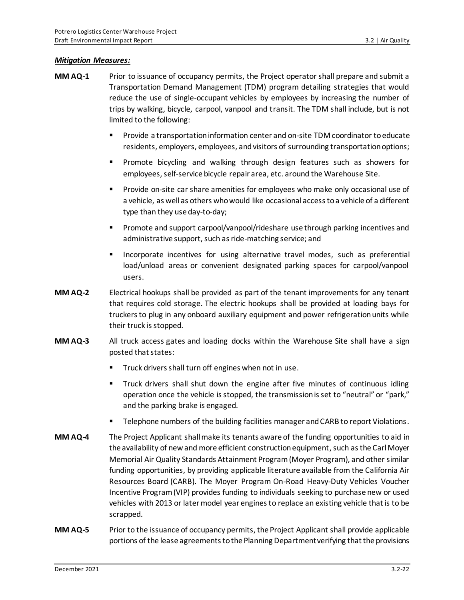#### *Mitigation Measures:*

- **MM AQ-1** Prior to issuance of occupancy permits, the Project operator shall prepare and submit a Transportation Demand Management (TDM) program detailing strategies that would reduce the use of single-occupant vehicles by employees by increasing the number of trips by walking, bicycle, carpool, vanpool and transit. The TDM shall include, but is not limited to the following:
	- Provide a transportation information center and on-site TDM coordinator to educate residents, employers, employees, and visitors of surrounding transportation options;
	- Promote bicycling and walking through design features such as showers for employees, self-service bicycle repair area, etc. around the Warehouse Site.
	- Provide on-site car share amenities for employees who make only occasional use of a vehicle, as well as others who would like occasional access to a vehicle of a different type than they use day-to-day;
	- Promote and support carpool/vanpool/rideshare use through parking incentives and administrative support, such as ride-matching service; and
	- Incorporate incentives for using alternative travel modes, such as preferential load/unload areas or convenient designated parking spaces for carpool/vanpool users.
- **MM AQ-2** Electrical hookups shall be provided as part of the tenant improvements for any tenant that requires cold storage. The electric hookups shall be provided at loading bays for truckers to plug in any onboard auxiliary equipment and power refrigeration units while their truck is stopped.
- **MM AQ-3** All truck access gates and loading docks within the Warehouse Site shall have a sign posted that states:
	- Truck drivers shall turn off engines when not in use.
	- **Truck drivers shall shut down the engine after five minutes of continuous idling** operation once the vehicle is stopped, the transmission is set to "neutral" or "park," and the parking brake is engaged.
	- Telephone numbers of the building facilities manager and CARB to report Violations.
- **MM AQ-4** The Project Applicant shall make its tenants aware of the funding opportunities to aid in the availability of new and more efficient construction equipment, such as the Carl Moyer Memorial Air Quality Standards Attainment Program (Moyer Program), and other similar funding opportunities, by providing applicable literature available from the California Air Resources Board (CARB). The Moyer Program On-Road Heavy-Duty Vehicles Voucher Incentive Program (VIP) provides funding to individuals seeking to purchase new or used vehicles with 2013 or later model year engines to replace an existing vehicle that is to be scrapped.
- **MM AQ-5** Prior to the issuance of occupancy permits, the Project Applicant shall provide applicable portions of the lease agreements to the Planning Department verifying that the provisions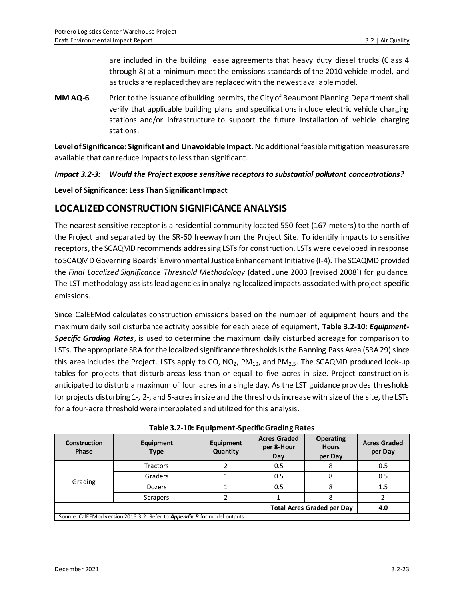are included in the building lease agreements that heavy duty diesel trucks (Class 4 through 8) at a minimum meet the emissions standards of the 2010 vehicle model, and as trucks are replaced they are replaced with the newest available model.

**MM AQ-6** Prior to the issuance of building permits, the City of Beaumont Planning Department shall verify that applicable building plans and specifications include electric vehicle charging stations and/or infrastructure to support the future installation of vehicle charging stations.

**Level of Significance: Significant and Unavoidable Impact.** No additional feasible mitigation measures are available that can reduce impacts to less than significant.

#### *Impact 3.2-3: Would the Project expose sensitive receptors to substantial pollutant concentrations?*

**Level of Significance: Less Than Significant Impact**

### **LOCALIZED CONSTRUCTION SIGNIFICANCE ANALYSIS**

The nearest sensitive receptor is a residential community located 550 feet (167 meters) to the north of the Project and separated by the SR-60 freeway from the Project Site. To identify impacts to sensitive receptors, the SCAQMD recommends addressing LSTs for construction. LSTs were developed in response to SCAQMD Governing Boards' Environmental Justice Enhancement Initiative (I-4). The SCAQMD provided the *Final Localized Significance Threshold Methodology* (dated June 2003 [revised 2008]) for guidance. The LST methodology assists lead agencies in analyzing localized impacts associated with project-specific emissions.

Since CalEEMod calculates construction emissions based on the number of equipment hours and the maximum daily soil disturbance activity possible for each piece of equipment, **Table 3.2-10:** *Equipment-Specific Grading Rates*, is used to determine the maximum daily disturbed acreage for comparison to LSTs. The appropriate SRA for the localized significance thresholds is the Banning Pass Area (SRA 29) since this area includes the Project. LSTs apply to CO,  $NO_2$ ,  $PM_{10}$ , and  $PM_{2.5}$ . The SCAQMD produced look-up tables for projects that disturb areas less than or equal to five acres in size. Project construction is anticipated to disturb a maximum of four acres in a single day. As the LST guidance provides thresholds for projects disturbing 1-, 2-, and 5-acres in size and the thresholds increase with size of the site, the LSTs for a four-acre threshold were interpolated and utilized for this analysis.

| Table 3.2-10: Equipment-Specific Grading Rates |  |
|------------------------------------------------|--|
|------------------------------------------------|--|

| <b>Construction</b><br><b>Phase</b> | Equipment<br><b>Type</b>                                                  | Equipment<br>Quantity | <b>Acres Graded</b><br>per 8-Hour<br>Day | <b>Operating</b><br><b>Hours</b><br>per Day | <b>Acres Graded</b><br>per Day |
|-------------------------------------|---------------------------------------------------------------------------|-----------------------|------------------------------------------|---------------------------------------------|--------------------------------|
| Grading                             | Tractors                                                                  |                       | 0.5                                      | 8                                           | 0.5                            |
|                                     | Graders                                                                   |                       | 0.5                                      | 8                                           | 0.5                            |
|                                     | <b>Dozers</b>                                                             |                       | 0.5                                      | 8                                           | 1.5                            |
|                                     | Scrapers                                                                  |                       |                                          | ጸ                                           |                                |
| <b>Total Acres Graded per Day</b>   |                                                                           |                       |                                          | 4.0                                         |                                |
|                                     | Source: CalEEMod version 2016.3.2. Refer to Appendix B for model outputs. |                       |                                          |                                             |                                |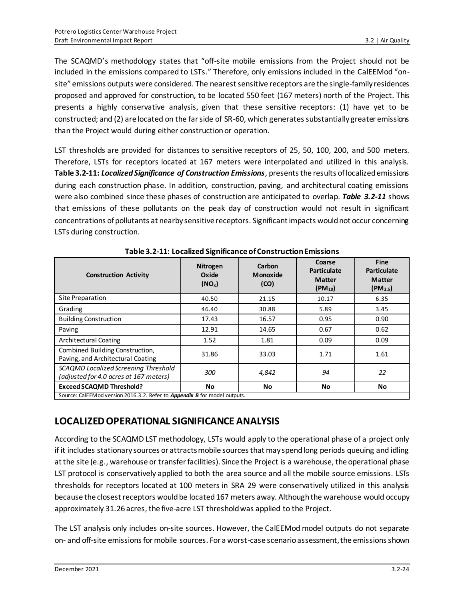The SCAQMD's methodology states that "off-site mobile emissions from the Project should not be included in the emissions compared to LSTs." Therefore, only emissions included in the CalEEMod "onsite" emissions outputs were considered. The nearest sensitive receptors are the single-family residences proposed and approved for construction, to be located 550 feet (167 meters) north of the Project. This presents a highly conservative analysis, given that these sensitive receptors: (1) have yet to be constructed; and (2) are located on the far side of SR-60, which generates substantially greater emissions than the Project would during either construction or operation.

LST thresholds are provided for distances to sensitive receptors of 25, 50, 100, 200, and 500 meters. Therefore, LSTs for receptors located at 167 meters were interpolated and utilized in this analysis. **Table 3.2-11:** *Localized Significance of Construction Emissions*, presents the results of localized emissions during each construction phase. In addition, construction, paving, and architectural coating emissions were also combined since these phases of construction are anticipated to overlap. *Table 3.2-11* shows that emissions of these pollutants on the peak day of construction would not result in significant concentrations of pollutants at nearby sensitive receptors. Significant impacts would not occur concerning LSTs during construction.

| <b>Construction Activity</b>                                                   | <b>Nitrogen</b><br>Oxide<br>(NO <sub>x</sub> ) | Carbon<br><b>Monoxide</b><br>(CO) | Coarse<br><b>Particulate</b><br><b>Matter</b><br>$(PM_{10})$ | Fine<br><b>Particulate</b><br><b>Matter</b><br>(PM <sub>2.5</sub> ) |
|--------------------------------------------------------------------------------|------------------------------------------------|-----------------------------------|--------------------------------------------------------------|---------------------------------------------------------------------|
| Site Preparation                                                               | 40.50                                          | 21.15                             | 10.17                                                        | 6.35                                                                |
| Grading                                                                        | 46.40                                          | 30.88                             | 5.89                                                         | 3.45                                                                |
| <b>Building Construction</b>                                                   | 17.43                                          | 16.57                             | 0.95                                                         | 0.90                                                                |
| Paving                                                                         | 12.91                                          | 14.65                             | 0.67                                                         | 0.62                                                                |
| <b>Architectural Coating</b>                                                   | 1.52                                           | 1.81                              | 0.09                                                         | 0.09                                                                |
| Combined Building Construction,<br>Paving, and Architectural Coating           | 31.86                                          | 33.03                             | 1.71                                                         | 1.61                                                                |
| SCAQMD Localized Screening Threshold<br>(adjusted for 4.0 acres at 167 meters) | 300                                            | 4,842                             | 94                                                           | 22                                                                  |
| <b>Exceed SCAQMD Threshold?</b>                                                | <b>No</b>                                      | No                                | No                                                           | No                                                                  |
| Source: CalEEMod version 2016.3.2. Refer to Appendix B for model outputs.      |                                                |                                   |                                                              |                                                                     |

**Table 3.2-11: Localized Significance of Construction Emissions**

**LOCALIZED OPERATIONAL SIGNIFICANCE ANALYSIS**

According to the SCAQMD LST methodology, LSTs would apply to the operational phase of a project only if it includes stationary sources or attracts mobile sources that may spend long periods queuing and idling at the site (e.g., warehouse or transfer facilities). Since the Project is a warehouse, the operational phase LST protocol is conservatively applied to both the area source and all the mobile source emissions. LSTs thresholds for receptors located at 100 meters in SRA 29 were conservatively utilized in this analysis because the closest receptors would be located 167 meters away. Although the warehouse would occupy approximately 31.26 acres, the five-acre LST threshold was applied to the Project.

The LST analysis only includes on-site sources. However, the CalEEMod model outputs do not separate on- and off-site emissions for mobile sources. For a worst-case scenario assessment, the emissions shown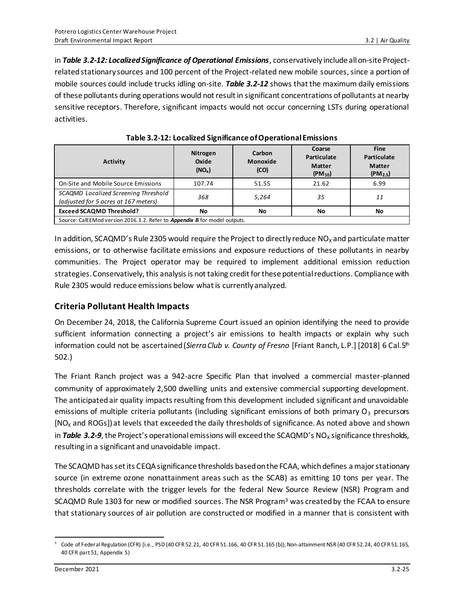in *Table 3.2-12: Localized Significance of Operational Emissions*, conservatively include all on-site Projectrelated stationary sources and 100 percent of the Project-related new mobile sources, since a portion of mobile sources could include trucks idling on-site. *Table 3.2-12* shows that the maximum daily emissions of these pollutants during operations would not result in significant concentrations of pollutants at nearby sensitive receptors. Therefore, significant impacts would not occur concerning LSTs during operational activities.

| <b>Activity</b>                                                              | <b>Nitrogen</b><br>Oxide<br>$(NO_x)$ | Carbon<br><b>Monoxide</b><br>(CO) | Coarse<br>Particulate<br><b>Matter</b><br>$(PM_{10})$ | <b>Fine</b><br>Particulate<br><b>Matter</b><br>(PM <sub>2.5</sub> ) |
|------------------------------------------------------------------------------|--------------------------------------|-----------------------------------|-------------------------------------------------------|---------------------------------------------------------------------|
| On-Site and Mobile Source Emissions                                          | 107.74                               | 51.55                             | 21.62                                                 | 6.99                                                                |
| SCAQMD Localized Screening Threshold<br>(adjusted for 5 acres at 167 meters) | 368                                  | 5,264                             | 35                                                    | 11                                                                  |
| <b>Exceed SCAQMD Threshold?</b>                                              | No                                   | No                                | No                                                    | No                                                                  |
| Source: CalEEMod version 2016.3.2. Refer to Appendix B for model outputs.    |                                      |                                   |                                                       |                                                                     |

| Table 3.2-12: Localized Significance of Operational Emissions |  |  |
|---------------------------------------------------------------|--|--|
|---------------------------------------------------------------|--|--|

In addition, SCAQMD's Rule 2305 would require the Project to directly reduce  $NO<sub>x</sub>$  and particulate matter emissions, or to otherwise facilitate emissions and exposure reductions of these pollutants in nearby communities. The Project operator may be required to implement additional emission reduction strategies. Conservatively, this analysis is not taking credit for these potential reductions. Compliance with Rule 2305 would reduce emissions below what is currently analyzed.

### **Criteria Pollutant Health Impacts**

On December 24, 2018, the California Supreme Court issued an opinion identifying the need to provide sufficient information connecting a project's air emissions to health impacts or explain why such information could not be ascertained (*Sierra Club v. County of Fresno* [Friant Ranch, L.P.] [2018] 6 Cal.5th 502.)

The Friant Ranch project was a 942-acre Specific Plan that involved a commercial master-planned community of approximately 2,500 dwelling units and extensive commercial supporting development. The anticipated air quality impacts resulting from this development included significant and unavoidable emissions of multiple criteria pollutants (including significant emissions of both primary  $O<sub>3</sub>$  precursors  $[NO<sub>x</sub>$  and ROGs]) at levels that exceeded the daily thresholds of significance. As noted above and shown in **Table 3.2-9**, the Project's operational emissions will exceed the SCAQMD's NO<sub>x</sub> significance thresholds, resulting in a significant and unavoidable impact.

The SCAQMD has set its CEQA significance thresholds based on the FCAA, which defines a major stationary source (in extreme ozone nonattainment areas such as the SCAB) as emitting 10 tons per year. The thresholds correlate with the trigger levels for the federal New Source Review (NSR) Program and SCAQMD Rule 1303 for new or modified sources. The NSR Program<sup>3</sup> was created by the FCAA to ensure that stationary sources of air pollution are constructed or modified in a manner that is consistent with

<sup>3</sup> Code of Federal Regulation (CFR) [i.e., PSD (40 CFR 52.21, 40 CFR 51.166, 40 CFR 51.165 (b)), Non-attainment NSR (40 CFR 52.24, 40 CFR 51.165, 40 CFR part 51, Appendix S)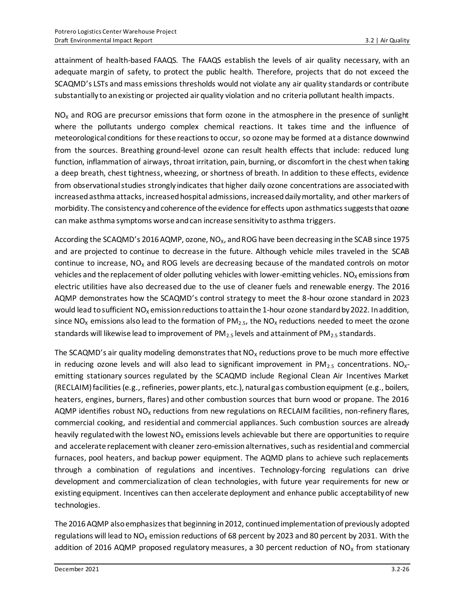attainment of health-based FAAQS. The FAAQS establish the levels of air quality necessary, with an adequate margin of safety, to protect the public health. Therefore, projects that do not exceed the SCAQMD's LSTs and mass emissions thresholds would not violate any air quality standards or contribute substantially to an existing or projected air quality violation and no criteria pollutant health impacts.

 $NO<sub>x</sub>$  and ROG are precursor emissions that form ozone in the atmosphere in the presence of sunlight where the pollutants undergo complex chemical reactions. It takes time and the influence of meteorological conditions for these reactions to occur, so ozone may be formed at a distance downwind from the sources. Breathing ground-level ozone can result health effects that include: reduced lung function, inflammation of airways, throat irritation, pain, burning, or discomfort in the chest when taking a deep breath, chest tightness, wheezing, or shortness of breath. In addition to these effects, evidence from observational studies strongly indicates that higher daily ozone concentrations are associated with increased asthma attacks, increased hospital admissions, increased daily mortality, and other markers of morbidity. The consistency and coherence of the evidence for effects upon asthmatics suggests that ozone can make asthma symptoms worse and can increase sensitivity to asthma triggers.

According the SCAQMD's 2016 AQMP, ozone, NO<sub>x</sub>, and ROG have been decreasing in the SCAB since 1975 and are projected to continue to decrease in the future. Although vehicle miles traveled in the SCAB continue to increase,  $NO<sub>x</sub>$  and ROG levels are decreasing because of the mandated controls on motor vehicles and the replacement of older polluting vehicles with lower-emitting vehicles.  $NO<sub>x</sub>$  emissions from electric utilities have also decreased due to the use of cleaner fuels and renewable energy. The 2016 AQMP demonstrates how the SCAQMD's control strategy to meet the 8-hour ozone standard in 2023 would lead to sufficient  $NO_x$  emission reductions to attain the 1-hour ozone standard by 2022. In addition, since NO<sub>x</sub> emissions also lead to the formation of PM<sub>2.5</sub>, the NO<sub>x</sub> reductions needed to meet the ozone standards will likewise lead to improvement of  $PM_{2.5}$  levels and attainment of  $PM_{2.5}$  standards.

The SCAQMD's air quality modeling demonstrates that  $NO<sub>x</sub>$  reductions prove to be much more effective in reducing ozone levels and will also lead to significant improvement in  $PM_{2.5}$  concentrations. NO<sub>x</sub>emitting stationary sources regulated by the SCAQMD include Regional Clean Air Incentives Market (RECLAIM) facilities (e.g., refineries, power plants, etc.), natural gas combustion equipment (e.g., boilers, heaters, engines, burners, flares) and other combustion sources that burn wood or propane. The 2016 AQMP identifies robust  $NO<sub>x</sub>$  reductions from new regulations on RECLAIM facilities, non-refinery flares, commercial cooking, and residential and commercial appliances. Such combustion sources are already heavily regulated with the lowest  $NO<sub>x</sub>$  emissions levels achievable but there are opportunities to require and accelerate replacement with cleaner zero-emission alternatives, such as residential and commercial furnaces, pool heaters, and backup power equipment. The AQMD plans to achieve such replacements through a combination of regulations and incentives. Technology-forcing regulations can drive development and commercialization of clean technologies, with future year requirements for new or existing equipment. Incentives can then accelerate deployment and enhance public acceptability of new technologies.

The 2016 AQMP also emphasizes that beginning in 2012, continued implementation of previously adopted regulations will lead to  $NO_x$  emission reductions of 68 percent by 2023 and 80 percent by 2031. With the addition of 2016 AQMP proposed regulatory measures, a 30 percent reduction of  $NO<sub>x</sub>$  from stationary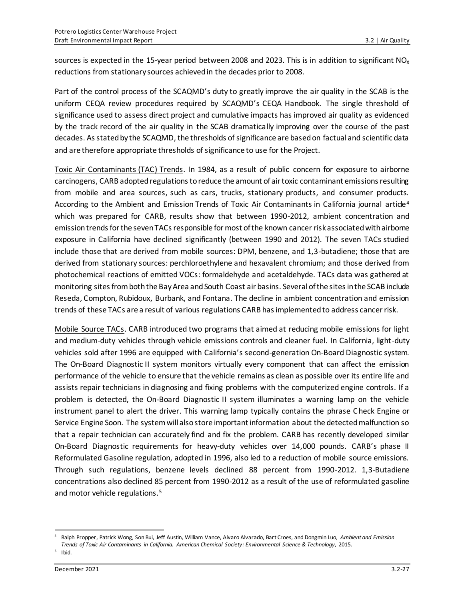sources is expected in the 15-year period between 2008 and 2023. This is in addition to significant  $NO<sub>x</sub>$ reductions from stationary sources achieved in the decades prior to 2008.

Part of the control process of the SCAQMD's duty to greatly improve the air quality in the SCAB is the uniform CEQA review procedures required by SCAQMD's CEQA Handbook. The single threshold of significance used to assess direct project and cumulative impacts has improved air quality as evidenced by the track record of the air quality in the SCAB dramatically improving over the course of the past decades. As stated by the SCAQMD, the thresholds of significance are based on factual and scientific data and are therefore appropriate thresholds of significance to use for the Project.

Toxic Air Contaminants (TAC) Trends. In 1984, as a result of public concern for exposure to airborne carcinogens, CARB adopted regulations to reduce the amount of air toxic contaminant emissions resulting from mobile and area sources, such as cars, trucks, stationary products, and consumer products. According to the Ambient and Emission Trends of Toxic Air Contaminants in California journal article<sup>4</sup> which was prepared for CARB, results show that between 1990-2012, ambient concentration and emission trends for the seven TACs responsible for most of the known cancer risk associated with airborne exposure in California have declined significantly (between 1990 and 2012). The seven TACs studied include those that are derived from mobile sources: DPM, benzene, and 1,3-butadiene; those that are derived from stationary sources: perchloroethylene and hexavalent chromium; and those derived from photochemical reactions of emitted VOCs: formaldehyde and acetaldehyde. TACs data was gathered at monitoring sites from both the Bay Area and South Coast air basins. Several of the sites in the SCAB include Reseda, Compton, Rubidoux, Burbank, and Fontana. The decline in ambient concentration and emission trends of these TACs are a result of various regulations CARB has implemented to address cancer risk.

Mobile Source TACs. CARB introduced two programs that aimed at reducing mobile emissions for light and medium-duty vehicles through vehicle emissions controls and cleaner fuel. In California, light-duty vehicles sold after 1996 are equipped with California's second-generation On-Board Diagnostic system. The On-Board Diagnostic II system monitors virtually every component that can affect the emission performance of the vehicle to ensure that the vehicle remains as clean as possible over its entire life and assists repair technicians in diagnosing and fixing problems with the computerized engine controls. If a problem is detected, the On-Board Diagnostic II system illuminates a warning lamp on the vehicle instrument panel to alert the driver. This warning lamp typically contains the phrase Check Engine or Service Engine Soon. The system will also store important information about the detected malfunction so that a repair technician can accurately find and fix the problem. CARB has recently developed similar On-Board Diagnostic requirements for heavy-duty vehicles over 14,000 pounds. CARB's phase II Reformulated Gasoline regulation, adopted in 1996, also led to a reduction of mobile source emissions. Through such regulations, benzene levels declined 88 percent from 1990-2012. 1,3-Butadiene concentrations also declined 85 percent from 1990-2012 as a result of the use of reformulated gasoline and motor vehicle regulations. 5

<sup>4</sup> Ralph Propper, Patrick Wong, Son Bui, Jeff Austin, William Vance, Alvaro Alvarado, Bart Croes, and Dongmin Luo, *Ambient and Emission Trends of Toxic Air Contaminants in California. American Chemical Society: Environmental Science & Technology,* 2015.

<sup>&</sup>lt;sup>5</sup> Ibid.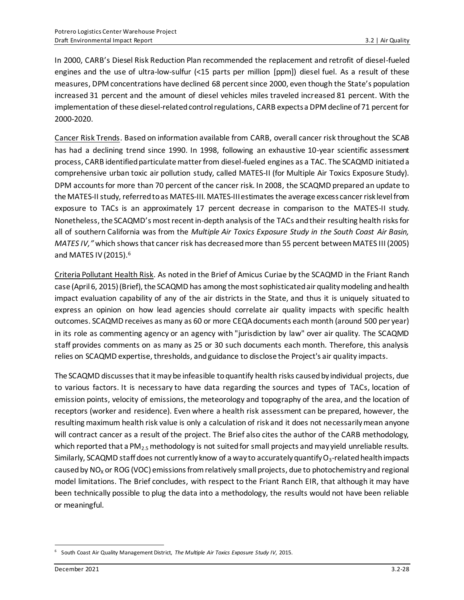In 2000, CARB's Diesel Risk Reduction Plan recommended the replacement and retrofit of diesel-fueled engines and the use of ultra-low-sulfur (<15 parts per million [ppm]) diesel fuel. As a result of these measures, DPM concentrations have declined 68 percent since 2000, even though the State's population increased 31 percent and the amount of diesel vehicles miles traveled increased 81 percent. With the implementation of these diesel-related control regulations, CARB expects a DPM decline of 71 percent for 2000-2020.

Cancer Risk Trends. Based on information available from CARB, overall cancer risk throughout the SCAB has had a declining trend since 1990. In 1998, following an exhaustive 10-year scientific assessment process, CARB identified particulate matter from diesel-fueled engines as a TAC. The SCAQMD initiated a comprehensive urban toxic air pollution study, called MATES-II (for Multiple Air Toxics Exposure Study). DPM accounts for more than 70 percent of the cancer risk. In 2008, the SCAQMD prepared an update to the MATES-II study, referred to as MATES-III. MATES-III estimates the average excess cancer risk level from exposure to TACs is an approximately 17 percent decrease in comparison to the MATES-II study. Nonetheless, the SCAQMD's most recent in-depth analysis of the TACs and their resulting health risks for all of southern California was from the *Multiple Air Toxics Exposure Study in the South Coast Air Basin, MATES IV,"* which shows that cancer risk has decreased more than 55 percent between MATES III (2005) and MATES IV (2015). 6

Criteria Pollutant Health Risk. As noted in the Brief of Amicus Curiae by the SCAQMD in the Friant Ranch case (April 6, 2015) (Brief), the SCAQMD has among the most sophisticated air quality modeling and health impact evaluation capability of any of the air districts in the State, and thus it is uniquely situated to express an opinion on how lead agencies should correlate air quality impacts with specific health outcomes. SCAQMD receives as many as 60 or more CEQA documents each month (around 500 per year) in its role as commenting agency or an agency with "jurisdiction by law" over air quality. The SCAQMD staff provides comments on as many as 25 or 30 such documents each month. Therefore, this analysis relies on SCAQMD expertise, thresholds, and guidance to disclose the Project's air quality impacts.

The SCAQMD discusses that it may be infeasible to quantify health risks caused by individual projects, due to various factors. It is necessary to have data regarding the sources and types of TACs, location of emission points, velocity of emissions, the meteorology and topography of the area, and the location of receptors (worker and residence). Even where a health risk assessment can be prepared, however, the resulting maximum health risk value is only a calculation of risk and it does not necessarily mean anyone will contract cancer as a result of the project. The Brief also cites the author of the CARB methodology, which reported that a PM<sub>2.5</sub> methodology is not suited for small projects and may yield unreliable results. Similarly, SCAQMD staff does not currently know of a way to accurately quantify  $O_3$ -related health impacts caused by  $NO<sub>x</sub>$  or ROG (VOC) emissions from relatively small projects, due to photochemistry and regional model limitations. The Brief concludes, with respect to the Friant Ranch EIR, that although it may have been technically possible to plug the data into a methodology, the results would not have been reliable or meaningful.

<sup>6</sup> South Coast Air Quality Management District, *The Multiple Air Toxics Exposure Study IV,* 2015.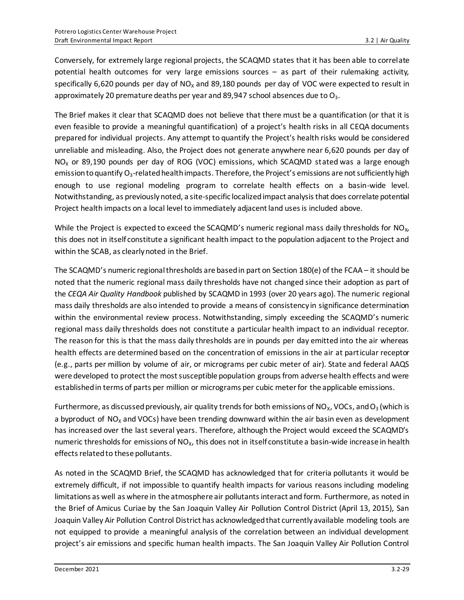Conversely, for extremely large regional projects, the SCAQMD states that it has been able to correlate potential health outcomes for very large emissions sources – as part of their rulemaking activity, specifically 6,620 pounds per day of  $NO<sub>x</sub>$  and 89,180 pounds per day of VOC were expected to result in approximately 20 premature deaths per year and 89,947 school absences due to  $O_3$ .

The Brief makes it clear that SCAQMD does not believe that there must be a quantification (or that it is even feasible to provide a meaningful quantification) of a project's health risks in all CEQA documents prepared for individual projects. Any attempt to quantify the Project's health risks would be considered unreliable and misleading. Also, the Project does not generate anywhere near 6,620 pounds per day of  $NO<sub>X</sub>$  or 89,190 pounds per day of ROG (VOC) emissions, which SCAQMD stated was a large enough emission to quantify  $O_3$ -related health impacts. Therefore, the Project's emissions are not sufficiently high enough to use regional modeling program to correlate health effects on a basin-wide level. Notwithstanding, as previously noted, a site-specific localized impact analysis that does correlate potential Project health impacts on a local level to immediately adjacent land uses is included above.

While the Project is expected to exceed the SCAQMD's numeric regional mass daily thresholds for  $N_{\rm X}$ , this does not in itself constitute a significant health impact to the population adjacent to the Project and within the SCAB, as clearly noted in the Brief.

The SCAQMD's numeric regional thresholds are based in part on Section 180(e) of the FCAA – it should be noted that the numeric regional mass daily thresholds have not changed since their adoption as part of the *CEQA Air Quality Handbook* published by SCAQMD in 1993 (over 20 years ago). The numeric regional mass daily thresholds are also intended to provide a means of consistency in significance determination within the environmental review process. Notwithstanding, simply exceeding the SCAQMD's numeric regional mass daily thresholds does not constitute a particular health impact to an individual receptor. The reason for this is that the mass daily thresholds are in pounds per day emitted into the air whereas health effects are determined based on the concentration of emissions in the air at particular receptor (e.g., parts per million by volume of air, or micrograms per cubic meter of air). State and federal AAQS were developed to protect the most susceptible population groups from adverse health effects and were established in terms of parts per million or micrograms per cubic meter for the applicable emissions.

Furthermore, as discussed previously, air quality trends for both emissions of NO<sub>x</sub>, VOCs, and O<sub>3</sub> (which is a byproduct of  $NO<sub>x</sub>$  and VOCs) have been trending downward within the air basin even as development has increased over the last several years. Therefore, although the Project would exceed the SCAQMD's numeric thresholds for emissions of  $NO<sub>x</sub>$ , this does not in itself constitute a basin-wide increase in health effects related to these pollutants.

As noted in the SCAQMD Brief, the SCAQMD has acknowledged that for criteria pollutants it would be extremely difficult, if not impossible to quantify health impacts for various reasons including modeling limitations as well as where in the atmosphere air pollutants interact and form. Furthermore, as noted in the Brief of Amicus Curiae by the San Joaquin Valley Air Pollution Control District (April 13, 2015), San Joaquin Valley Air Pollution Control District has acknowledged that currently available modeling tools are not equipped to provide a meaningful analysis of the correlation between an individual development project's air emissions and specific human health impacts. The San Joaquin Valley Air Pollution Control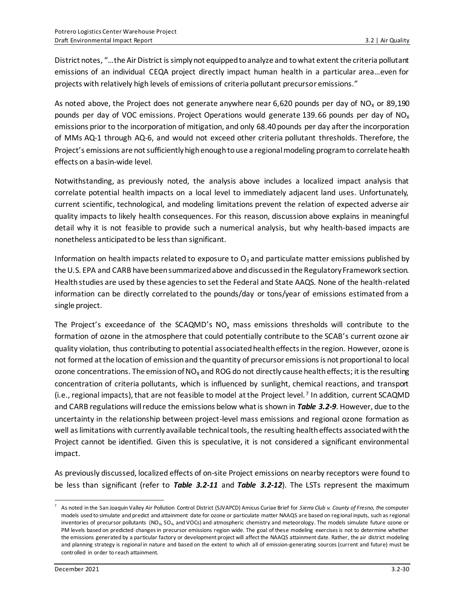District notes, "…the Air District is simply not equipped to analyze and to what extent the criteria pollutant emissions of an individual CEQA project directly impact human health in a particular area…even for projects with relatively high levels of emissions of criteria pollutant precursor emissions."

As noted above, the Project does not generate anywhere near 6,620 pounds per day of  $NO<sub>x</sub>$  or 89,190 pounds per day of VOC emissions. Project Operations would generate 139.66 pounds per day of  $NO<sub>x</sub>$ emissions prior to the incorporation of mitigation, and only 68.40 pounds per day after the incorporation of MMs AQ-1 through AQ-6, and would not exceed other criteria pollutant thresholds. Therefore, the Project's emissions are not sufficiently high enough to use a regional modeling program to correlate health effects on a basin-wide level.

Notwithstanding, as previously noted, the analysis above includes a localized impact analysis that correlate potential health impacts on a local level to immediately adjacent land uses. Unfortunately, current scientific, technological, and modeling limitations prevent the relation of expected adverse air quality impacts to likely health consequences. For this reason, discussion above explains in meaningful detail why it is not feasible to provide such a numerical analysis, but why health-based impacts are nonetheless anticipated to be less than significant.

Information on health impacts related to exposure to  $O<sub>3</sub>$  and particulate matter emissions published by the U.S. EPA and CARB have been summarized above and discussed in the Regulatory Framework section. Health studies are used by these agencies to set the Federal and State AAQS. None of the health-related information can be directly correlated to the pounds/day or tons/year of emissions estimated from a single project.

The Project's exceedance of the SCAQMD's  $NO<sub>x</sub>$  mass emissions thresholds will contribute to the formation of ozone in the atmosphere that could potentially contribute to the SCAB's current ozone air quality violation, thus contributing to potential associated health effects in the region. However, ozone is not formed at the location of emission and the quantity of precursor emissions is not proportional to local ozone concentrations. The emission of  $NO<sub>x</sub>$  and ROG do not directly cause health effects; it is the resulting concentration of criteria pollutants, which is influenced by sunlight, chemical reactions, and transport (i.e., regional impacts), that are not feasible to model at the Project level. <sup>7</sup> In addition, current SCAQMD and CARB regulations will reduce the emissions below what is shown in *Table 3.2-9*. However, due to the uncertainty in the relationship between project-level mass emissions and regional ozone formation as well as limitations with currently available technical tools, the resulting health effects associated with the Project cannot be identified. Given this is speculative, it is not considered a significant environmental impact.

As previously discussed, localized effects of on-site Project emissions on nearby receptors were found to be less than significant (refer to *Table 3.2-11* and *Table 3.2-12*). The LSTs represent the maximum

<sup>7</sup> As noted in the San Joaquin Valley Air Pollution Control District (SJVAPCD) Amicus Curiae Brief for *Sierra Club v. County of Fresno, t*he computer models used to simulate and predict and attainment date for ozone or particulate matter NAAQS are based on reg ional inputs, such as regional inventories of precursor pollutants  $(NO_X, SO_X, and VOCs)$  and atmospheric chemistry and meteorology. The models simulate future ozone or PM levels based on predicted changes in precursor emissions region wide. The goal of these modeling exercises is not to determine whether the emissions generated by a particular factory or development project will affect the NAAQS attainment date. Rather, the air district modeling and planning strategy is regional in nature and based on the extent to which all of emission-generating sources (current and future) must be controlled in order to reach attainment.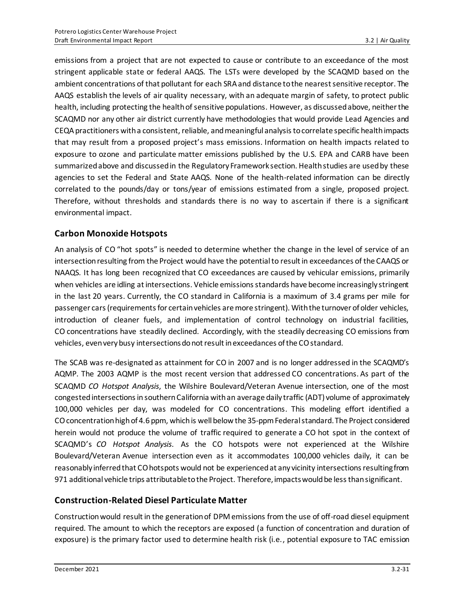emissions from a project that are not expected to cause or contribute to an exceedance of the most stringent applicable state or federal AAQS. The LSTs were developed by the SCAQMD based on the ambient concentrations of that pollutant for each SRA and distance to the nearest sensitive receptor. The AAQS establish the levels of air quality necessary, with an adequate margin of safety, to protect public health, including protecting the health of sensitive populations. However, as discussed above, neither the SCAQMD nor any other air district currently have methodologies that would provide Lead Agencies and CEQA practitioners with a consistent, reliable, and meaningful analysis to correlate specific health impacts that may result from a proposed project's mass emissions. Information on health impacts related to exposure to ozone and particulate matter emissions published by the U.S. EPA and CARB have been summarized above and discussed in the Regulatory Framework section. Health studies are used by these agencies to set the Federal and State AAQS. None of the health-related information can be directly correlated to the pounds/day or tons/year of emissions estimated from a single, proposed project. Therefore, without thresholds and standards there is no way to ascertain if there is a significant environmental impact.

### **Carbon Monoxide Hotspots**

An analysis of CO "hot spots" is needed to determine whether the change in the level of service of an intersection resulting from the Project would have the potential to result in exceedances of the CAAQS or NAAQS. It has long been recognized that CO exceedances are caused by vehicular emissions, primarily when vehicles are idling at intersections. Vehicle emissions standards have become increasingly stringent in the last 20 years. Currently, the CO standard in California is a maximum of 3.4 grams per mile for passenger cars (requirements for certain vehicles are more stringent). With the turnover of older vehicles, introduction of cleaner fuels, and implementation of control technology on industrial facilities, CO concentrations have steadily declined. Accordingly, with the steadily decreasing CO emissions from vehicles, even very busy intersections do not result in exceedances of the CO standard.

The SCAB was re-designated as attainment for CO in 2007 and is no longer addressed in the SCAQMD's AQMP. The 2003 AQMP is the most recent version that addressed CO concentrations. As part of the SCAQMD *CO Hotspot Analysis*, the Wilshire Boulevard/Veteran Avenue intersection, one of the most congested intersections in southern California with an average daily traffic (ADT) volume of approximately 100,000 vehicles per day, was modeled for CO concentrations. This modeling effort identified a COconcentration high of 4.6 ppm, which is well below the 35-ppm Federal standard. The Project considered herein would not produce the volume of traffic required to generate a CO hot spot in the context of SCAQMD's *CO Hotspot Analysis*. As the CO hotspots were not experienced at the Wilshire Boulevard/Veteran Avenue intersection even as it accommodates 100,000 vehicles daily, it can be reasonably inferred that CO hotspots would not be experienced at any vicinity intersections resulting from 971 additional vehicle trips attributable to the Project. Therefore, impacts would be less than significant.

### **Construction-Related Diesel Particulate Matter**

Construction would result in the generation of DPM emissions from the use of off-road diesel equipment required. The amount to which the receptors are exposed (a function of concentration and duration of exposure) is the primary factor used to determine health risk (i.e., potential exposure to TAC emission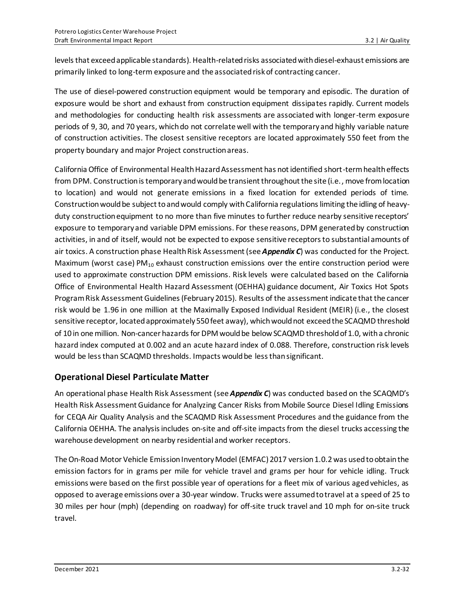levels that exceed applicable standards). Health-relatedrisks associated with diesel-exhaust emissions are primarily linked to long-term exposure and the associated risk of contracting cancer.

The use of diesel-powered construction equipment would be temporary and episodic. The duration of exposure would be short and exhaust from construction equipment dissipates rapidly. Current models and methodologies for conducting health risk assessments are associated with longer-term exposure periods of 9, 30, and 70 years, which do not correlate well with the temporary and highly variable nature of construction activities. The closest sensitive receptors are located approximately 550 feet from the property boundary and major Project construction areas.

California Office of Environmental Health Hazard Assessment has not identified short-term health effects from DPM. Construction is temporary and would be transient throughout the site (i.e., move from location to location) and would not generate emissions in a fixed location for extended periods of time. Construction would be subject to and would comply with California regulations limiting the idling of heavyduty construction equipment to no more than five minutes to further reduce nearby sensitive receptors' exposure to temporary and variable DPM emissions. For these reasons, DPM generated by construction activities, in and of itself, would not be expected to expose sensitive receptors to substantial amounts of air toxics. A construction phase Health Risk Assessment (see *Appendix C*) was conducted for the Project. Maximum (worst case)  $PM_{10}$  exhaust construction emissions over the entire construction period were used to approximate construction DPM emissions. Risk levels were calculated based on the California Office of Environmental Health Hazard Assessment (OEHHA) guidance document, Air Toxics Hot Spots Program Risk Assessment Guidelines (February 2015). Results of the assessment indicate that the cancer risk would be 1.96 in one million at the Maximally Exposed Individual Resident (MEIR) (i.e., the closest sensitive receptor, located approximately 550 feet away), which would not exceed the SCAQMD threshold of 10 in one million. Non-cancer hazards for DPM would be below SCAQMD threshold of 1.0, with a chronic hazard index computed at 0.002 and an acute hazard index of 0.088. Therefore, construction risk levels would be less than SCAQMD thresholds. Impacts would be less than significant.

## **Operational Diesel Particulate Matter**

An operational phase Health Risk Assessment (see *Appendix C*) was conducted based on the SCAQMD's Health Risk Assessment Guidance for Analyzing Cancer Risks from Mobile Source Diesel Idling Emissions for CEQA Air Quality Analysis and the SCAQMD Risk Assessment Procedures and the guidance from the California OEHHA. The analysis includes on-site and off-site impacts from the diesel trucks accessing the warehouse development on nearby residential and worker receptors.

The On-Road Motor Vehicle Emission Inventory Model (EMFAC) 2017 version 1.0.2 was used to obtain the emission factors for in grams per mile for vehicle travel and grams per hour for vehicle idling. Truck emissions were based on the first possible year of operations for a fleet mix of various aged vehicles, as opposed to average emissions over a 30-year window. Trucks were assumed to travel at a speed of 25 to 30 miles per hour (mph) (depending on roadway) for off-site truck travel and 10 mph for on-site truck travel.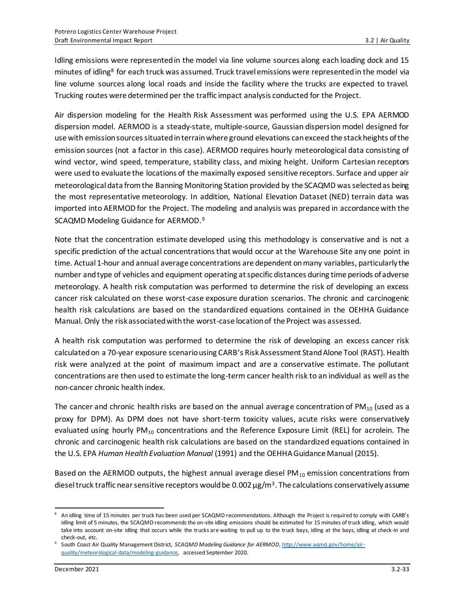Idling emissions were represented in the model via line volume sources along each loading dock and 15 minutes of idling<sup>8</sup> for each truck was assumed. Truck travel emissions were represented in the model via line volume sources along local roads and inside the facility where the trucks are expected to travel. Trucking routes were determined per the traffic impact analysis conducted for the Project.

Air dispersion modeling for the Health Risk Assessment was performed using the U.S. EPA AERMOD dispersion model. AERMOD is a steady‐state, multiple‐source, Gaussian dispersion model designed for use with emission sources situated in terrain where ground elevations can exceed the stack heights of the emission sources (not a factor in this case). AERMOD requires hourly meteorological data consisting of wind vector, wind speed, temperature, stability class, and mixing height. Uniform Cartesian receptors were used to evaluate the locations of the maximally exposed sensitive receptors. Surface and upper air meteorological data from the Banning Monitoring Station provided by the SCAQMD was selected as being the most representative meteorology. In addition, National Elevation Dataset (NED) terrain data was imported into AERMOD for the Project. The modeling and analysis was prepared in accordance with the SCAQMD Modeling Guidance for AERMOD.<sup>9</sup>

Note that the concentration estimate developed using this methodology is conservative and is not a specific prediction of the actual concentrations that would occur at the Warehouse Site any one point in time. Actual 1-hour and annual average concentrations are dependent on many variables, particularly the number and type of vehicles and equipment operating at specific distances during time periods of adverse meteorology. A health risk computation was performed to determine the risk of developing an excess cancer risk calculated on these worst-case exposure duration scenarios. The chronic and carcinogenic health risk calculations are based on the standardized equations contained in the OEHHA Guidance Manual. Only the risk associated with the worst-case location of the Project was assessed.

A health risk computation was performed to determine the risk of developing an excess cancer risk calculated on a 70‐year exposure scenario using CARB's Risk Assessment Stand Alone Tool (RAST). Health risk were analyzed at the point of maximum impact and are a conservative estimate. The pollutant concentrations are then used to estimate the long-term cancer health risk to an individual as well as the non-cancer chronic health index.

The cancer and chronic health risks are based on the annual average concentration of  $PM_{10}$  (used as a proxy for DPM). As DPM does not have short-term toxicity values, acute risks were conservatively evaluated using hourly  $PM_{10}$  concentrations and the Reference Exposure Limit (REL) for acrolein. The chronic and carcinogenic health risk calculations are based on the standardized equations contained in the U.S. EPA *Human Health Evaluation Manual* (1991) and the OEHHA Guidance Manual (2015).

Based on the AERMOD outputs, the highest annual average diesel  $PM_{10}$  emission concentrations from diesel truck traffic near sensitive receptors would be 0.002  $\mu$ g/m<sup>3</sup>. The calculations conservatively assume

<sup>8</sup> An idling time of 15 minutes per truck has been used per SCAQMD recommendations. Although the Project is required to comply with CARB's idling limit of 5 minutes, the SCAQMD recommends the on-site idling emissions should be estimated for 15 minutes of truck idling, which would take into account on-site idling that occurs while the trucks are waiting to pull up to the truck bays, idling at the bays, idling at check-in and check-out, etc.

<sup>9</sup> South Coast Air Quality Management District, *SCAQMD Modeling Guidance for AERMOD*[, http://www.aqmd.gov/home/air](http://www.aqmd.gov/home/air-quality/meteorological-data/modeling-guidance)[quality/meteorological-data/modeling-guidance,](http://www.aqmd.gov/home/air-quality/meteorological-data/modeling-guidance) accessed September 2020.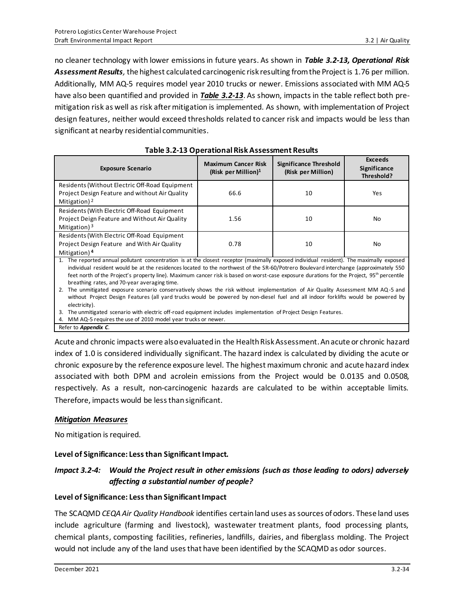no cleaner technology with lower emissions in future years. As shown in *Table 3.2-13, Operational Risk Assessment Results,* the highest calculated carcinogenic risk resulting from the Project is 1.76 per million. Additionally, MM AQ-5 requires model year 2010 trucks or newer. Emissions associated with MM AQ-5 have also been quantified and provided in *Table 3.2-13*. As shown, impacts in the table reflect both premitigation risk as well as risk after mitigation is implemented. As shown, with implementation of Project design features, neither would exceed thresholds related to cancer risk and impacts would be less than significant at nearby residential communities.

| <b>Exposure Scenario</b>                                                                                                                                                                                                                                                                                                                                                                                                                                                                                                                                                                                                                                                                                                                                                                | <b>Maximum Cancer Risk</b><br>(Risk per Million) $1$ | <b>Significance Threshold</b><br>(Risk per Million) | <b>Exceeds</b><br>Significance<br>Threshold? |  |
|-----------------------------------------------------------------------------------------------------------------------------------------------------------------------------------------------------------------------------------------------------------------------------------------------------------------------------------------------------------------------------------------------------------------------------------------------------------------------------------------------------------------------------------------------------------------------------------------------------------------------------------------------------------------------------------------------------------------------------------------------------------------------------------------|------------------------------------------------------|-----------------------------------------------------|----------------------------------------------|--|
| Residents (Without Electric Off-Road Equipment<br>Project Design Feature and without Air Quality<br>Mitigation) <sup>2</sup>                                                                                                                                                                                                                                                                                                                                                                                                                                                                                                                                                                                                                                                            | 66.6                                                 | 10                                                  | Yes                                          |  |
| Residents (With Electric Off-Road Equipment<br>Project Deign Feature and Without Air Quality<br>Mitigation) $3$                                                                                                                                                                                                                                                                                                                                                                                                                                                                                                                                                                                                                                                                         | 1.56                                                 | 10                                                  | No                                           |  |
| Residents (With Electric Off-Road Equipment<br>Project Design Feature and With Air Quality<br>Mitigation) <sup>4</sup>                                                                                                                                                                                                                                                                                                                                                                                                                                                                                                                                                                                                                                                                  | 0.78                                                 | 10                                                  | No                                           |  |
| 1. The reported annual pollutant concentration is at the closest receptor (maximally exposed individual resident). The maximally exposed<br>individual resident would be at the residences located to the northwest of the SR-60/Potrero Boulevard interchange (approximately 550<br>feet north of the Project's property line). Maximum cancer risk is based on worst-case exposure durations for the Project, 95 <sup>th</sup> percentile<br>breathing rates, and 70-year averaging time.<br>The unmitigated exposure scenario conservatively shows the risk without implementation of Air Quality Assessment MM AQ-5 and<br>2.<br>without Project Design Features (all yard trucks would be powered by non-diesel fuel and all indoor forklifts would be powered by<br>electricity). |                                                      |                                                     |                                              |  |

3. The unmitigated scenario with electric off-road equipment includes implementation of Project Design Features.

4. MM AQ-5 requires the use of 2010 model year trucks or newer.

Refer to *Appendix C*.

Acute and chronic impacts were also evaluated in the Health Risk Assessment. An acute or chronic hazard index of 1.0 is considered individually significant. The hazard index is calculated by dividing the acute or chronic exposure by the reference exposure level. The highest maximum chronic and acute hazard index associated with both DPM and acrolein emissions from the Project would be 0.0135 and 0.0508, respectively. As a result, non‐carcinogenic hazards are calculated to be within acceptable limits. Therefore, impacts would be less than significant.

#### *Mitigation Measures*

No mitigation is required.

#### **Level of Significance: Less than Significant Impact.**

### *Impact 3.2-4: Would the Project result in other emissions (such as those leading to odors) adversely affecting a substantial number of people?*

#### **Level of Significance: Less than Significant Impact**

The SCAQMD *CEQA Air Quality Handbook* identifies certain land uses as sources of odors. These land uses include agriculture (farming and livestock), wastewater treatment plants, food processing plants, chemical plants, composting facilities, refineries, landfills, dairies, and fiberglass molding. The Project would not include any of the land uses that have been identified by the SCAQMD as odor sources.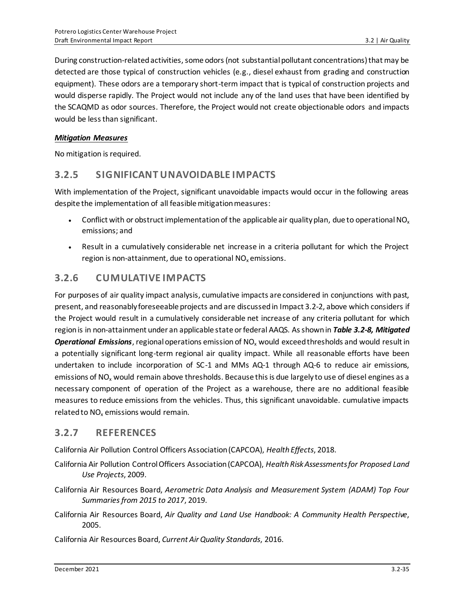During construction-related activities, some odors (not substantial pollutant concentrations) that may be detected are those typical of construction vehicles (e.g., diesel exhaust from grading and construction equipment). These odors are a temporary short-term impact that is typical of construction projects and would disperse rapidly. The Project would not include any of the land uses that have been identified by the SCAQMD as odor sources. Therefore, the Project would not create objectionable odors and impacts would be less than significant.

#### *Mitigation Measures*

No mitigation is required.

## **3.2.5 SIGNIFICANT UNAVOIDABLE IMPACTS**

With implementation of the Project, significant unavoidable impacts would occur in the following areas despite the implementation of all feasible mitigation measures:

- Conflict with or obstruct implementation of the applicable air quality plan, due to operational NO<sub>x</sub> emissions; and
- Result in a cumulatively considerable net increase in a criteria pollutant for which the Project region is non-attainment, due to operational  $NO<sub>x</sub>$  emissions.

## **3.2.6 CUMULATIVE IMPACTS**

For purposes of air quality impact analysis, cumulative impacts are considered in conjunctions with past, present, and reasonably foreseeable projects and are discussed in Impact 3.2-2, above which considers if the Project would result in a cumulatively considerable net increase of any criteria pollutant for which regionis in non-attainment under an applicable state or federal AAQS. As shown in *Table 3.2-8, Mitigated*  **Operational Emissions**, regional operations emission of NO<sub>x</sub> would exceed thresholds and would result in a potentially significant long-term regional air quality impact. While all reasonable efforts have been undertaken to include incorporation of SC-1 and MMs AQ-1 through AQ-6 to reduce air emissions, emissions of NO<sub>x</sub> would remain above thresholds. Because this is due largely to use of diesel engines as a necessary component of operation of the Project as a warehouse, there are no additional feasible measures to reduce emissions from the vehicles. Thus, this significant unavoidable. cumulative impacts related to NO<sub>x</sub> emissions would remain.

## **3.2.7 REFERENCES**

California Air Pollution Control Officers Association (CAPCOA), *Health Effects*, 2018.

- California Air Pollution Control Officers Association (CAPCOA), *Health Risk Assessments for Proposed Land Use Projects*, 2009.
- California Air Resources Board, *Aerometric Data Analysis and Measurement System (ADAM) Top Four Summaries from 2015 to 2017*, 2019.
- California Air Resources Board, *Air Quality and Land Use Handbook: A Community Health Perspective*, 2005.

California Air Resources Board, *Current Air Quality Standards*, 2016.